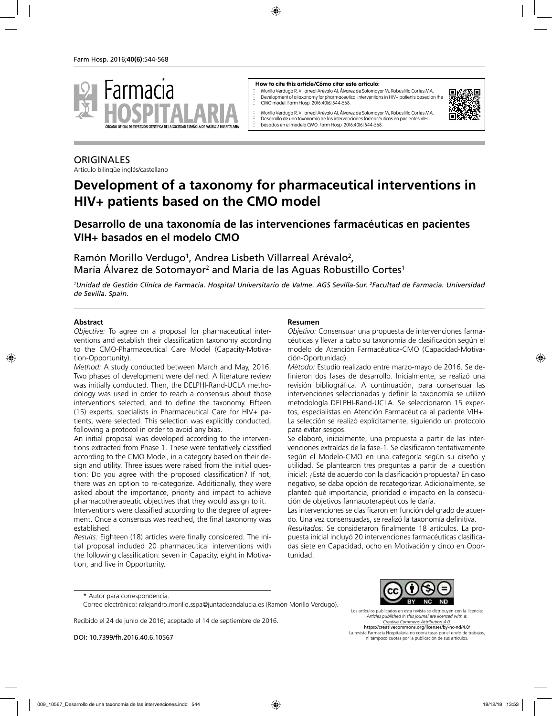

#### **How to cite this article/Cómo citar este artículo:**

Morillo Verdugo R, Villarreal Arévalo Al, Álvarez de Sotomayor M, Robustillo Cortes MA. Development of a taxonomy for pharmaceutical interventions in HIV+ patients based on the CMO model. Farm Hosp. 2016;40(6):544-568.

Morillo Verdugo R, Villarreal Arévalo Al, Álvarez de Sotomayor M, Robustillo Cortes MA. Desarrollo de una taxonomía de las intervenciones farmacéuticas en pacientes VIH+ basados en el modelo CMO. Farm Hosp. 2016;40(6):544-568.



#### **ORIGINALES**

Artículo bilingüe inglés/castellano

# **Development of a taxonomy for pharmaceutical interventions in HIV+ patients based on the CMO model**

# **Desarrollo de una taxonomía de las intervenciones farmacéuticas en pacientes VIH+ basados en el modelo CMO**

Ramón Morillo Verdugo<sup>1</sup>, Andrea Lisbeth Villarreal Arévalo<sup>2</sup>, María Álvarez de Sotomayor<sup>2</sup> and María de las Aguas Robustillo Cortes<sup>1</sup>

*1 Unidad de Gestión Clínica de Farmacia. Hospital Universitario de Valme. AGS Sevilla-Sur. 2 Facultad de Farmacia. Universidad de Sevilla. Spain.*

#### **Abstract**

*Objective:* To agree on a proposal for pharmaceutical interventions and establish their classification taxonomy according to the CMO-Pharmaceutical Care Model (Capacity-Motivation-Opportunity).

*Method:* A study conducted between March and May, 2016. Two phases of development were defined. A literature review was initially conducted. Then, the DELPHI-Rand-UCLA methodology was used in order to reach a consensus about those interventions selected, and to define the taxonomy. Fifteen (15) experts, specialists in Pharmaceutical Care for HIV+ patients, were selected. This selection was explicitly conducted, following a protocol in order to avoid any bias.

An initial proposal was developed according to the interventions extracted from Phase 1. These were tentatively classified according to the CMO Model, in a category based on their design and utility. Three issues were raised from the initial question: Do you agree with the proposed classification? If not, there was an option to re-categorize. Additionally, they were asked about the importance, priority and impact to achieve pharmacotherapeutic objectives that they would assign to it.

Interventions were classified according to the degree of agreement. Once a consensus was reached, the final taxonomy was established.

*Results:* Eighteen (18) articles were finally considered. The initial proposal included 20 pharmaceutical interventions with the following classification: seven in Capacity, eight in Motivation, and five in Opportunity.

#### **Resumen**

*Objetivo:* Consensuar una propuesta de intervenciones farmacéuticas y llevar a cabo su taxonomía de clasificación según el modelo de Atención Farmacéutica-CMO (Capacidad-Motivación-Oportunidad).

*Método:* Estudio realizado entre marzo-mayo de 2016. Se definieron dos fases de desarrollo. Inicialmente, se realizó una revisión bibliográfica. A continuación, para consensuar las intervenciones seleccionadas y definir la taxonomía se utilizó metodología DELPHI-Rand-UCLA. Se seleccionaron 15 expertos, especialistas en Atención Farmacéutica al paciente VIH+. La selección se realizó explícitamente, siguiendo un protocolo para evitar sesgos.

Se elaboró, inicialmente, una propuesta a partir de las intervenciones extraídas de la fase-1. Se clasificaron tentativamente según el Modelo-CMO en una categoría según su diseño y utilidad. Se plantearon tres preguntas a partir de la cuestión inicial: ¿Está de acuerdo con la clasificación propuesta? En caso negativo, se daba opción de recategorizar. Adicionalmente, se planteó qué importancia, prioridad e impacto en la consecución de objetivos farmacoterapéuticos le daría.

Las intervenciones se clasificaron en función del grado de acuerdo. Una vez consensuadas, se realizó la taxonomía definitiva. *Resultados:* Se consideraron finalmente 18 artículos. La pro-

puesta inicial incluyó 20 intervenciones farmacéuticas clasificadas siete en Capacidad, ocho en Motivación y cinco en Oportunidad.

\* Autor para correspondencia.

Recibido el 24 de junio de 2016; aceptado el 14 de septiembre de 2016.

DOI: 10.7399/fh.2016.40.6.10567



Los artículos publicados en esta revista se distribuyen con la licencia: *Articles published in this journal are licensed with a: Creative Commons Attribution 4.0.* https://creativecommons.org/licenses/by-nc-nd/4.0/

La revista Farmacia Hospitalaria no cobra tasas por el envío de trabajos, ni tampoco cuotas por la publicación de sus artículos.

Correo electrónico: ralejandro.morillo.sspa@juntadeandalucia.es (Ramón Morillo Verdugo).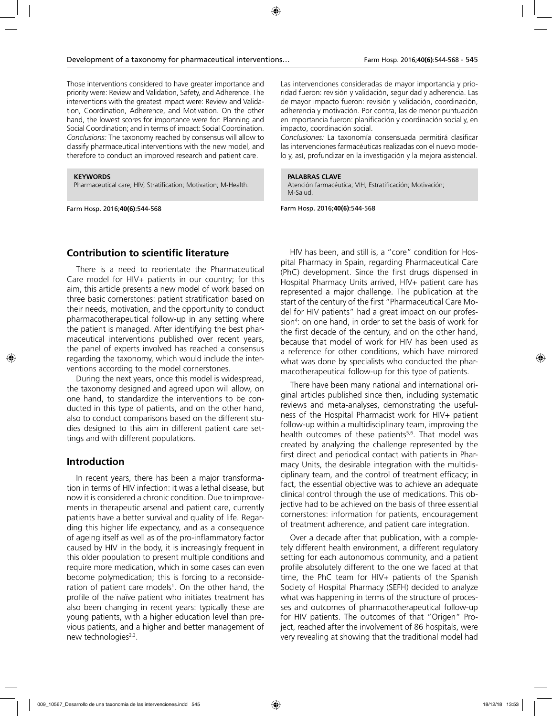Those interventions considered to have greater importance and priority were: Review and Validation, Safety, and Adherence. The interventions with the greatest impact were: Review and Validation, Coordination, Adherence, and Motivation. On the other hand, the lowest scores for importance were for: Planning and Social Coordination; and in terms of impact: Social Coordination. *Conclusions:* The taxonomy reached by consensus will allow to classify pharmaceutical interventions with the new model, and therefore to conduct an improved research and patient care.

#### **KEYWORDS**

Pharmaceutical care; HIV; Stratification; Motivation; M-Health.

Farm Hosp. 2016;**40(6)**:544-568

Las intervenciones consideradas de mayor importancia y prioridad fueron: revisión y validación, seguridad y adherencia. Las de mayor impacto fueron: revisión y validación, coordinación, adherencia y motivación. Por contra, las de menor puntuación en importancia fueron: planificación y coordinación social y, en impacto, coordinación social.

*Conclusiones:* La taxonomía consensuada permitirá clasificar las intervenciones farmacéuticas realizadas con el nuevo modelo y, así, profundizar en la investigación y la mejora asistencial.

#### **PALABRAS CLAVE**

Atención farmacéutica; VIH, Estratificación; Motivación; M-Salud.

Farm Hosp. 2016;**40(6)**:544-568

### **Contribution to scientific literature**

There is a need to reorientate the Pharmaceutical Care model for HIV+ patients in our country; for this aim, this article presents a new model of work based on three basic cornerstones: patient stratification based on their needs, motivation, and the opportunity to conduct pharmacotherapeutical follow-up in any setting where the patient is managed. After identifying the best pharmaceutical interventions published over recent years, the panel of experts involved has reached a consensus regarding the taxonomy, which would include the interventions according to the model cornerstones.

During the next years, once this model is widespread, the taxonomy designed and agreed upon will allow, on one hand, to standardize the interventions to be conducted in this type of patients, and on the other hand, also to conduct comparisons based on the different studies designed to this aim in different patient care settings and with different populations.

#### **Introduction**

In recent years, there has been a major transformation in terms of HIV infection: it was a lethal disease, but now it is considered a chronic condition. Due to improvements in therapeutic arsenal and patient care, currently patients have a better survival and quality of life. Regarding this higher life expectancy, and as a consequence of ageing itself as well as of the pro-inflammatory factor caused by HIV in the body, it is increasingly frequent in this older population to present multiple conditions and require more medication, which in some cases can even become polymedication; this is forcing to a reconsideration of patient care models<sup>1</sup>. On the other hand, the profile of the naïve patient who initiates treatment has also been changing in recent years: typically these are young patients, with a higher education level than previous patients, and a higher and better management of new technologies $2,3$ .

HIV has been, and still is, a "core" condition for Hospital Pharmacy in Spain, regarding Pharmaceutical Care (PhC) development. Since the first drugs dispensed in Hospital Pharmacy Units arrived, HIV+ patient care has represented a major challenge. The publication at the start of the century of the first "Pharmaceutical Care Model for HIV patients" had a great impact on our profession4 : on one hand, in order to set the basis of work for the first decade of the century, and on the other hand, because that model of work for HIV has been used as a reference for other conditions, which have mirrored what was done by specialists who conducted the pharmacotherapeutical follow-up for this type of patients.

There have been many national and international original articles published since then, including systematic reviews and meta-analyses, demonstrating the usefulness of the Hospital Pharmacist work for HIV+ patient follow-up within a multidisciplinary team, improving the health outcomes of these patients<sup>5,6</sup>. That model was created by analyzing the challenge represented by the first direct and periodical contact with patients in Pharmacy Units, the desirable integration with the multidisciplinary team, and the control of treatment efficacy; in fact, the essential objective was to achieve an adequate clinical control through the use of medications. This objective had to be achieved on the basis of three essential cornerstones: information for patients, encouragement of treatment adherence, and patient care integration.

Over a decade after that publication, with a completely different health environment, a different regulatory setting for each autonomous community, and a patient profile absolutely different to the one we faced at that time, the PhC team for HIV+ patients of the Spanish Society of Hospital Pharmacy (SEFH) decided to analyze what was happening in terms of the structure of processes and outcomes of pharmacotherapeutical follow-up for HIV patients. The outcomes of that "Origen" Project, reached after the involvement of 86 hospitals, were very revealing at showing that the traditional model had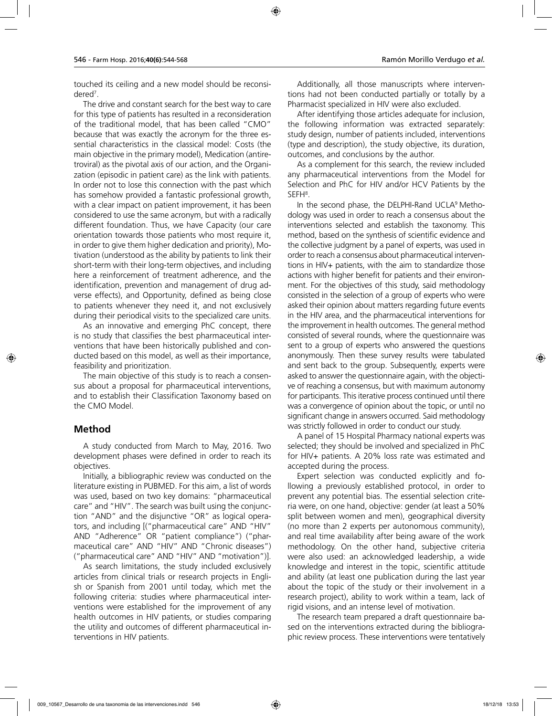touched its ceiling and a new model should be reconsidered7 .

The drive and constant search for the best way to care for this type of patients has resulted in a reconsideration of the traditional model, that has been called "CMO" because that was exactly the acronym for the three essential characteristics in the classical model: Costs (the main objective in the primary model), Medication (antiretroviral) as the pivotal axis of our action, and the Organization (episodic in patient care) as the link with patients. In order not to lose this connection with the past which has somehow provided a fantastic professional growth, with a clear impact on patient improvement, it has been considered to use the same acronym, but with a radically different foundation. Thus, we have Capacity (our care orientation towards those patients who most require it, in order to give them higher dedication and priority), Motivation (understood as the ability by patients to link their short-term with their long-term objectives, and including here a reinforcement of treatment adherence, and the identification, prevention and management of drug adverse effects), and Opportunity, defined as being close to patients whenever they need it, and not exclusively during their periodical visits to the specialized care units.

As an innovative and emerging PhC concept, there is no study that classifies the best pharmaceutical interventions that have been historically published and conducted based on this model, as well as their importance, feasibility and prioritization.

The main objective of this study is to reach a consensus about a proposal for pharmaceutical interventions, and to establish their Classification Taxonomy based on the CMO Model.

#### **Method**

A study conducted from March to May, 2016. Two development phases were defined in order to reach its objectives.

Initially, a bibliographic review was conducted on the literature existing in PUBMED. For this aim, a list of words was used, based on two key domains: "pharmaceutical care" and "HIV". The search was built using the conjunction "AND" and the disjunctive "OR" as logical operators, and including [("pharmaceutical care" AND "HIV" AND "Adherence" OR "patient compliance") ("pharmaceutical care" AND "HIV" AND "Chronic diseases") ("pharmaceutical care" AND "HIV" AND "motivation")].

As search limitations, the study included exclusively articles from clinical trials or research projects in English or Spanish from 2001 until today, which met the following criteria: studies where pharmaceutical interventions were established for the improvement of any health outcomes in HIV patients, or studies comparing the utility and outcomes of different pharmaceutical interventions in HIV patients.

Additionally, all those manuscripts where interventions had not been conducted partially or totally by a Pharmacist specialized in HIV were also excluded.

After identifying those articles adequate for inclusion, the following information was extracted separately: study design, number of patients included, interventions (type and description), the study objective, its duration, outcomes, and conclusions by the author.

As a complement for this search, the review included any pharmaceutical interventions from the Model for Selection and PhC for HIV and/or HCV Patients by the  $SEFH<sup>8</sup>$ .

In the second phase, the DELPHI-Rand UCLA9 Methodology was used in order to reach a consensus about the interventions selected and establish the taxonomy. This method, based on the synthesis of scientific evidence and the collective judgment by a panel of experts, was used in order to reach a consensus about pharmaceutical interventions in HIV+ patients, with the aim to standardize those actions with higher benefit for patients and their environment. For the objectives of this study, said methodology consisted in the selection of a group of experts who were asked their opinion about matters regarding future events in the HIV area, and the pharmaceutical interventions for the improvement in health outcomes. The general method consisted of several rounds, where the questionnaire was sent to a group of experts who answered the questions anonymously. Then these survey results were tabulated and sent back to the group. Subsequently, experts were asked to answer the questionnaire again, with the objective of reaching a consensus, but with maximum autonomy for participants. This iterative process continued until there was a convergence of opinion about the topic, or until no significant change in answers occurred. Said methodology was strictly followed in order to conduct our study.

A panel of 15 Hospital Pharmacy national experts was selected; they should be involved and specialized in PhC for HIV+ patients. A 20% loss rate was estimated and accepted during the process.

Expert selection was conducted explicitly and following a previously established protocol, in order to prevent any potential bias. The essential selection criteria were, on one hand, objective: gender (at least a 50% split between women and men), geographical diversity (no more than 2 experts per autonomous community), and real time availability after being aware of the work methodology. On the other hand, subjective criteria were also used: an acknowledged leadership, a wide knowledge and interest in the topic, scientific attitude and ability (at least one publication during the last year about the topic of the study or their involvement in a research project), ability to work within a team, lack of rigid visions, and an intense level of motivation.

The research team prepared a draft questionnaire based on the interventions extracted during the bibliographic review process. These interventions were tentatively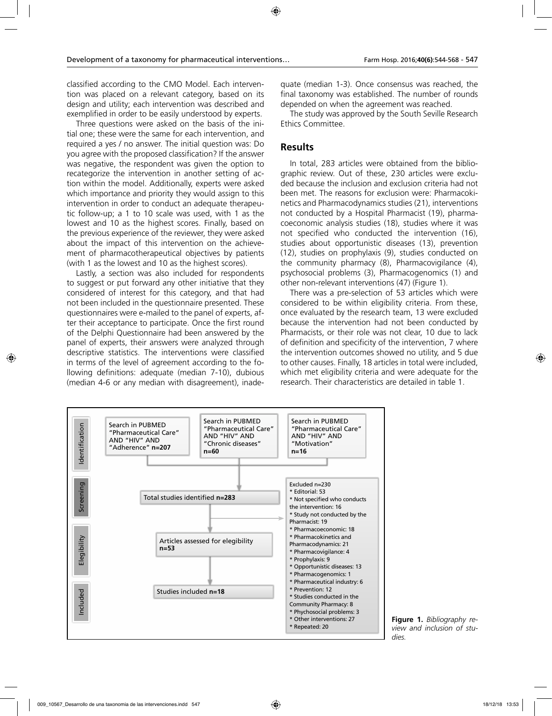classified according to the CMO Model. Each intervention was placed on a relevant category, based on its design and utility; each intervention was described and exemplified in order to be easily understood by experts.

Three questions were asked on the basis of the initial one; these were the same for each intervention, and required a yes / no answer. The initial question was: Do you agree with the proposed classification? If the answer was negative, the respondent was given the option to recategorize the intervention in another setting of action within the model. Additionally, experts were asked which importance and priority they would assign to this intervention in order to conduct an adequate therapeutic follow-up; a 1 to 10 scale was used, with 1 as the lowest and 10 as the highest scores. Finally, based on the previous experience of the reviewer, they were asked about the impact of this intervention on the achievement of pharmacotherapeutical objectives by patients (with 1 as the lowest and 10 as the highest scores).

Lastly, a section was also included for respondents to suggest or put forward any other initiative that they considered of interest for this category, and that had not been included in the questionnaire presented. These questionnaires were e-mailed to the panel of experts, after their acceptance to participate. Once the first round of the Delphi Questionnaire had been answered by the panel of experts, their answers were analyzed through descriptive statistics. The interventions were classified in terms of the level of agreement according to the following definitions: adequate (median 7-10), dubious (median 4-6 or any median with disagreement), inadequate (median 1-3). Once consensus was reached, the final taxonomy was established. The number of rounds depended on when the agreement was reached.

The study was approved by the South Seville Research Ethics Committee.

### **Results**

In total, 283 articles were obtained from the bibliographic review. Out of these, 230 articles were excluded because the inclusion and exclusion criteria had not been met. The reasons for exclusion were: Pharmacokinetics and Pharmacodynamics studies (21), interventions not conducted by a Hospital Pharmacist (19), pharmacoeconomic analysis studies (18), studies where it was not specified who conducted the intervention (16), studies about opportunistic diseases (13), prevention (12), studies on prophylaxis (9), studies conducted on the community pharmacy (8), Pharmacovigilance (4), psychosocial problems (3), Pharmacogenomics (1) and other non-relevant interventions (47) (Figure 1).

There was a pre-selection of 53 articles which were considered to be within eligibility criteria. From these, once evaluated by the research team, 13 were excluded because the intervention had not been conducted by Pharmacists, or their role was not clear, 10 due to lack of definition and specificity of the intervention, 7 where the intervention outcomes showed no utility, and 5 due to other causes. Finally, 18 articles in total were included, which met eligibility criteria and were adequate for the research. Their characteristics are detailed in table 1.



**Figure 1.** *Bibliography review and inclusion of studies.*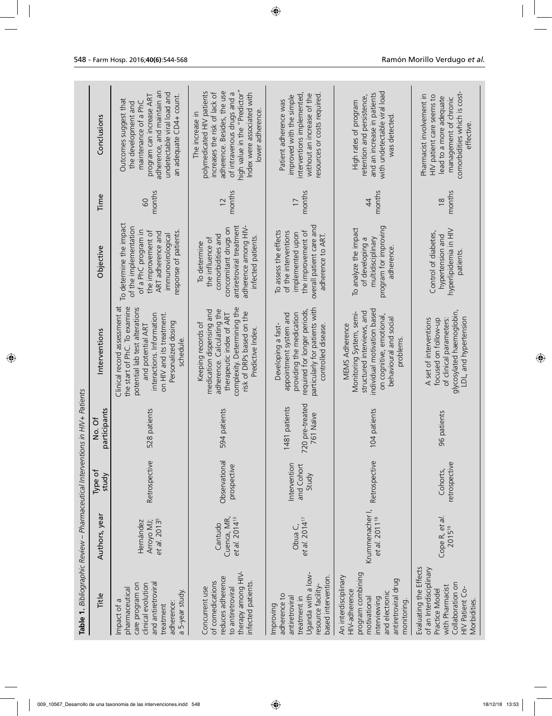| Table 1. Bibliographic Review - Pharmaceutical Interventions in HIV+ Patients<br>Title                                                             | Authors, year                                       | Type of<br>study                    | participants<br>Ō<br>2<br>2                   | Interventions                                                                                                                                                                                                     | Objective                                                                                                                                                        | Time                      | Conclusions                                                                                                                                                                                                                    |
|----------------------------------------------------------------------------------------------------------------------------------------------------|-----------------------------------------------------|-------------------------------------|-----------------------------------------------|-------------------------------------------------------------------------------------------------------------------------------------------------------------------------------------------------------------------|------------------------------------------------------------------------------------------------------------------------------------------------------------------|---------------------------|--------------------------------------------------------------------------------------------------------------------------------------------------------------------------------------------------------------------------------|
| and antiretroviral<br>care program on<br>clinical evolution<br>pharmaceutical<br>a 5-year study.<br>Impact of a<br>adherence:<br>treatment         | et al. 2013 <sup>5</sup><br>Arroyo MJ;<br>Hernández | Retrospective                       | 528 patients                                  | Clinical record assessment at<br>the start of PhC. To examine<br>potential lab test alterations<br>on HIV and its treatment.<br>interactions. Information<br>Personalized dosing<br>and potential ART<br>schedule | To determine the impact<br>of the implementation<br>of a PhC program in<br>the improvement of<br>response of patients.<br>ART adherence and<br>immunovirological | months<br>60              | adherence, and maintain an<br>undetectable viral load and<br>program can increase ART<br>an adequate CD4+ count.<br>Outcomes suggest that<br>maintenance of a PhC<br>the development and                                       |
| therapy among HIV-<br>reduces adherence<br>of comedications<br>infected patients.<br>to antiretroviral<br>Concurrent use                           | et al. 2014 <sup>13</sup><br>Cuenca, MR,<br>Cantudo | Observational<br>prospective        | 594 patients                                  | complexity. Determining the<br>adherence. Calculating the<br>medication dispensing and<br>risk of DRPs based on the<br>therapeutic index of ART<br>Keeping records of<br>Predictive Index.                        | antiretroviral treatment<br>adherence among HIV-<br>concomitant drugs on<br>comorbidities and<br>infected patients.<br>the influence of<br>To determine          | months<br>12              | high value in the "Predictor"<br>adherence. Besides, the use<br>polymedicated HIV patients<br>of intravenous drugs and a<br>Index were associated with<br>increases the risk of lack of<br>lower adherence.<br>The increase in |
| Uganda with a low-<br>based intervention.<br>resource facility-<br>adherence to<br>antiretroviral<br>treatment in<br>Improving                     | et al. 2014 <sup>17</sup><br>Obua C,                | Intervention<br>and Cohort<br>Study | 720 pre-treated<br>1481 patients<br>761 Naïve | particularly for patients with<br>required for longer periods,<br>appointment system and<br>providing the medication<br>Developing a fast-<br>controlled disease                                                  | overall patient care and<br>To assess the effects<br>the improvement of<br>of the interventions<br>implemented upor<br>adherence to ART.                         | months<br>$\overline{17}$ | interventions implemented,<br>resources or costs required.<br>without an increase of the<br>improved with the simple<br>Patient adherence was                                                                                  |
| program combining<br>An interdisciplinary<br>antiretroviral drug<br>HIV-adherence<br>and electronic<br>interviewing<br>motivational<br>monitoring. | Krummenacher I,<br>et al. 2011 <sup>18</sup>        | Retrospective                       | 104 patients                                  | individual motivation based<br>structured interviews, and<br>Monitoring System, semi-<br>on cognitive, emotional,<br>behavioural and socia<br><b>MEMS Adherence</b><br>problems                                   | program for improving<br>To analyze the impact<br>multidisciplinary<br>of developing a<br>adherence                                                              | months<br>$\overline{4}$  | with undetectable viral load<br>and an increase in patients<br>retention and persistence,<br>High rates of program<br>was detected                                                                                             |
| Evaluating the Effects<br>of an Interdisciplinary<br>Collaboration on<br>with Pharmacist<br>HIV Patient Co-<br>Practice Model<br>Morbidities.      | Cope R, et al.<br>201519                            | retrospective<br>Cohorts,           | 96 patients                                   | glycosylated haemoglobin,<br>LDL, and hypertension<br>A set of interventions<br>of clinical parameters:<br>focused on follow-up                                                                                   | hyperlipidemia in HIV<br>Control of diabetes,<br>hypertension and<br>patients.                                                                                   | months<br>$\frac{8}{3}$   | comorbidities which is cost-<br>Pharmacist involvement in<br>HIV patient care seems to<br>lead to a more adequate<br>management of chronic<br>ettective                                                                        |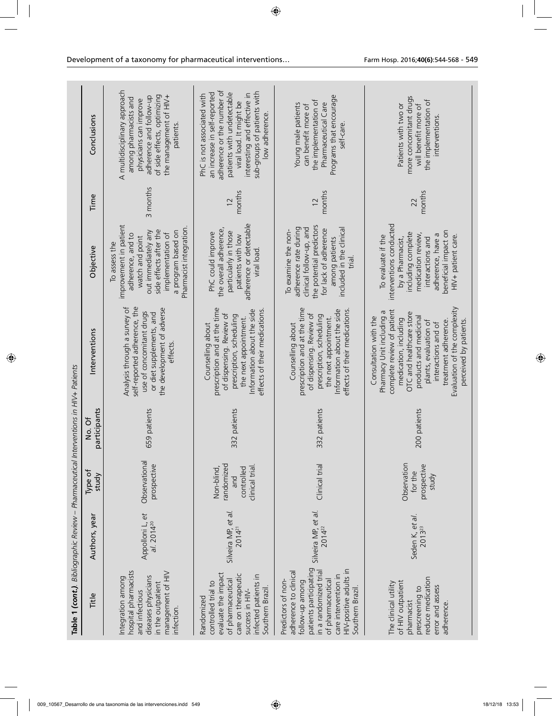| Table 1 (cont.). Bibliographic Review - Pharmaceutical Interventions in HIV+ Patients<br>Title                                                                                                               | Authors, year                         | Type of<br>study                                                 | participants<br>No. Of | Interventions                                                                                                                                                                                                                                                                                     | Objective                                                                                                                                                                                              | Time                     | Conclusions                                                                                                                                                                                                                       |
|--------------------------------------------------------------------------------------------------------------------------------------------------------------------------------------------------------------|---------------------------------------|------------------------------------------------------------------|------------------------|---------------------------------------------------------------------------------------------------------------------------------------------------------------------------------------------------------------------------------------------------------------------------------------------------|--------------------------------------------------------------------------------------------------------------------------------------------------------------------------------------------------------|--------------------------|-----------------------------------------------------------------------------------------------------------------------------------------------------------------------------------------------------------------------------------|
| hospital pharmacists<br>management of HIV<br>diseases physicians<br>Integration among<br>in the outpatient<br>and infectious<br>infection.                                                                   | Appolloni L, et<br>$al. 2014^{20}$    | Observational<br>prospective                                     | 659 patients           | Analysis through a survey of<br>self-reported adherence, the<br>the development of adverse<br>use of concomitant drugs<br>or diet supplements, and<br>effects                                                                                                                                     | improvement in patient<br>Pharmacist integration.<br>side effects after the<br>a program based on<br>out immediately any<br>implementation of<br>adherence, and to<br>watch and point<br>To assess the | 3 months                 | A multidisciplinary approach<br>of side effects, optimizing<br>adherence and follow-up<br>the management of HIV+<br>among pharmacists and<br>physicians can improve<br>patients                                                   |
| evaluate the impact<br>care on therapeutic<br>infected patients in<br>of pharmaceutical<br>controlled trial to<br>Southern Brazil<br>success in HIV-<br>Randomized                                           | Silveira MP, et al.<br>$2014^{21}$    | randomized<br>clinical trial.<br>Non-blind,<br>controlled<br>and | 332 patients           | prescription and at the time<br>Information about the side<br>effects of their medications<br>of dispensing. Review of<br>prescription, scheduling<br>the next appointment.<br>Counselling about                                                                                                  | adherence or detectable<br>the overall adherence,<br>particularly in those<br>PhC could improve<br>patients with low<br>viral load                                                                     | months<br>12             | adherence or the number of<br>sub-groups of patients with<br>an increase in self-reported<br>patients with undetectable<br>interesting and effective in<br>PhC is not associated with<br>viral load. It might be<br>low adherence |
| patients participating<br>HIV-positive adults in<br>adherence to clinical<br>in a randomized trial<br>care intervention in<br>of pharmaceutical<br>Predictors of non-<br>follow-up among<br>Southern Brazil. | Silveira MP, et al.<br>$2014^{22}$    | Clinical trial                                                   | 332 patients           | prescription and at the time<br>effects of their medications.<br>Information about the side<br>of dispensing. Review of<br>prescription, scheduling<br>the next appointment.<br>Counselling about                                                                                                 | the potential predictors<br>adherence rate during<br>clinical follow-up, and<br>for lack of adherence<br>included in the clinical<br>To examine the non-<br>among patients<br>trial.                   | months<br>$\overline{c}$ | Programs that encourage<br>the implementation of<br>Pharmaceutical Care<br>Young male patients<br>can benefit more of<br>selt-care                                                                                                |
| reduce medication<br>of HIV outpatient<br>The clinical utility<br>error and assess<br>prescreening to<br>pharmacist<br>adherence.                                                                            | Seden K, et al.<br>2013 <sup>23</sup> | Observation<br>prospective<br>for the<br>study                   | 200 patients           | Evaluation of the complexity<br>complete review of patient<br>Pharmacy Unit including a<br>OTC and healthcare store<br>products and medicinal<br>Consultation with the<br>medication, including<br>treatment adherence.<br>perceived by patients.<br>plants, evaluation of<br>interactions and of | interventions conducted<br>beneficial impact on<br>including complete<br>medication review,<br>adherence, have a<br>HIV+ patient care.<br>To evaluate if the<br>interactions and<br>by a Pharmacist,   | months<br>22             | more concomitant drugs<br>the implementation of<br>Patients with two or<br>will benefit more of<br>interventions.                                                                                                                 |
|                                                                                                                                                                                                              |                                       |                                                                  |                        |                                                                                                                                                                                                                                                                                                   |                                                                                                                                                                                                        |                          |                                                                                                                                                                                                                                   |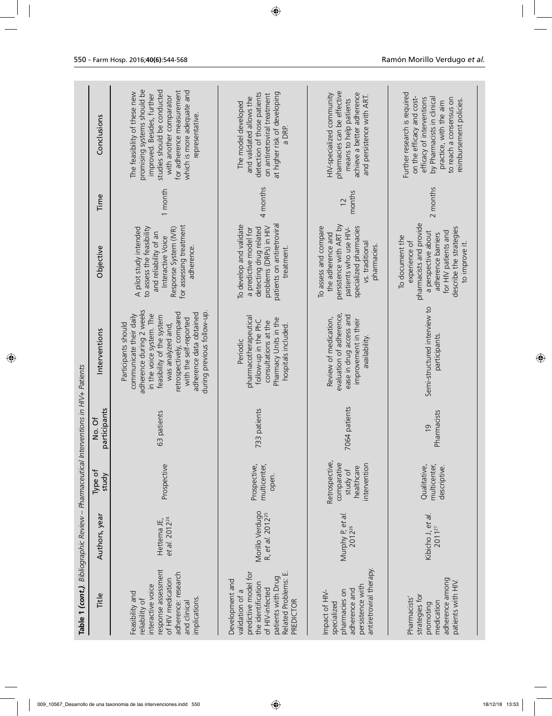| Table 1 (cont.). Bibliographic Review - Pharmaceutical Interventions in HIV+ Patients                                                                          |                                                 |                                                                         |                               |                                                                                                                                                                                                                                                                          |                                                                                                                                                                               |                           |                                                                                                                                                                                                                                  |
|----------------------------------------------------------------------------------------------------------------------------------------------------------------|-------------------------------------------------|-------------------------------------------------------------------------|-------------------------------|--------------------------------------------------------------------------------------------------------------------------------------------------------------------------------------------------------------------------------------------------------------------------|-------------------------------------------------------------------------------------------------------------------------------------------------------------------------------|---------------------------|----------------------------------------------------------------------------------------------------------------------------------------------------------------------------------------------------------------------------------|
| Title                                                                                                                                                          | Authors, year                                   | Type of<br>study                                                        | participants<br>Ō<br>2        | Interventions                                                                                                                                                                                                                                                            | Objective                                                                                                                                                                     | Time                      | Conclusions                                                                                                                                                                                                                      |
| response assessment<br>adherence: research<br>of HIV medication<br>interactive voice<br>Feasibility and<br>implications.<br>reliability of<br>and clinical     | et al. 2012 <sup>24</sup><br>Hettema JE,        | Prospective                                                             | 63 patients                   | adherence during 2 weeks<br>during previous follow-up.<br>retrospectively, compared<br>adherence data obtained<br>in the voice system. The<br>communicate their daily<br>feasibility of the system<br>with the self-reported<br>was analyzed and,<br>Participants should | for assessing treatment<br>A pilot study intended<br>to assess the feasibility<br>Response System (IVR)<br>and reliability of an<br>Interactive Voice<br>adherence            | 1 month                   | promising systems should be<br>studies should be conducted<br>for adherence measurement<br>which is more adequate and<br>The feasibility of these new<br>improved. Besides, further<br>with another comparator<br>representative |
| Related Problems: E.<br>predictive model for<br>patients with Drug<br>Development and<br>the identification<br>of HIV-infected<br>validation of a<br>PREDICTOR | Morillo Verdugo<br>R, et al. 2012 <sup>25</sup> | multicenter,<br>Prospective,<br>open.                                   | 733 patients                  | pharmacotherapeutical<br>Pharmacy Units in the<br>follow-up in the PhC<br>consultations at the<br>hospitals included.<br>Periodic                                                                                                                                        | To develop and validate<br>patients on antiretrovira<br>problems (DRPs) in HIV<br>detecting drug related<br>a predictive model for<br>treatment                               | 4 months                  | at higher risk of developing<br>detection of those patients<br>on antiretroviral treatment<br>and validated allows the<br>The model developed<br>a DRP.                                                                          |
| antiretroviral therapy.<br>persistence with<br>adherence and<br>pharmacies on<br>Impact of HIV-<br>specialized                                                 | Murphy P, et al.<br>$2012^{26}$                 | Retrospective,<br>comparative<br>intervention<br>healthcare<br>study of | 7064 patients                 | evaluation of adherence,<br>ease in drug access and<br>Review of medication,<br>improvement in their<br>availability.                                                                                                                                                    | persistence with ART by<br>To assess and compare<br>specialized pharmacies<br>patients who use HIV-<br>the adherence and<br>vs. traditiona<br>pharmacies.                     | months<br>$\overline{12}$ | pharmacies can be effective<br>achieve a better adherence<br>HIV-specialized community<br>and persistence with ART.<br>means to help patients                                                                                    |
| adherence among<br>patients with HIV.<br>strategies for<br>Pharmacists'<br>medication<br>promoting                                                             | Kibicho J, et al.<br>2011 <sup>27</sup>         | multicenter,<br>Qualitative,<br>descriptive.                            | Pharmacists<br>$\overline{0}$ | Semi-structured interview to<br>participants                                                                                                                                                                                                                             | pharmacists and provide<br>describe the strategies<br>a perspective about<br>for HIV patients and<br>adherence barriers<br>To document the<br>experience of<br>to improve it. | 2 months                  | Further research is required<br>on the efficacy and cost-<br>efficacy of interventions<br>by Pharmacists in clinical<br>to reach a consensus on<br>reimbursement policies.<br>practice, with the aim                             |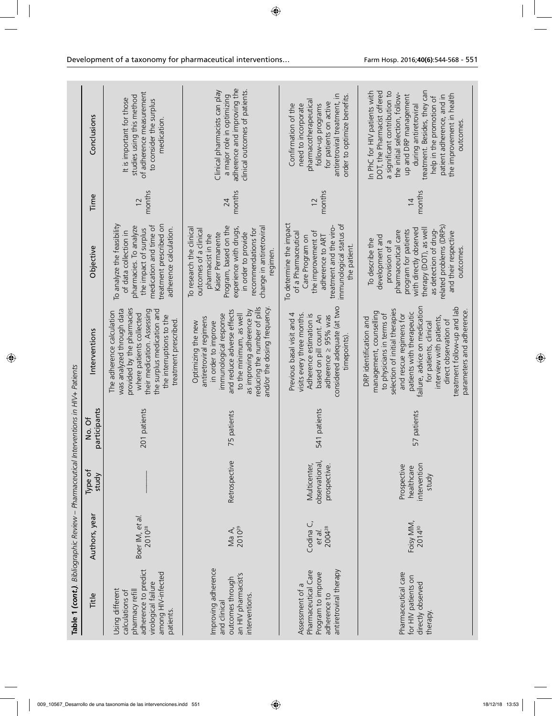| Table 1 (cont.). Bibliographic Review - Pharmaceutical Interventions in HIV+ Patients<br>Title                                          | Authors, year                         | Type of<br>study                                   | participants<br>No. Of | Interventions                                                                                                                                                                                                                                                                                                                                        | Objective                                                                                                                                                                                                                                       | Time                      | Conclusions                                                                                                                                                                                                                                                                                                        |
|-----------------------------------------------------------------------------------------------------------------------------------------|---------------------------------------|----------------------------------------------------|------------------------|------------------------------------------------------------------------------------------------------------------------------------------------------------------------------------------------------------------------------------------------------------------------------------------------------------------------------------------------------|-------------------------------------------------------------------------------------------------------------------------------------------------------------------------------------------------------------------------------------------------|---------------------------|--------------------------------------------------------------------------------------------------------------------------------------------------------------------------------------------------------------------------------------------------------------------------------------------------------------------|
| adherence to predict<br>among HIV-infected<br>virological failure<br>Using different<br>pharmacy refill<br>calculations of<br>patients. | Boer IM, et al.<br>2010 <sup>28</sup> |                                                    | 201 patients           | provided by the pharmacies<br>was analyzed through data<br>their medication. Assessing<br>the surplus medication and<br>The adherence calculation<br>where patients collected<br>the interruptions to the<br>treatment prescribed.                                                                                                                   | To analyze the feasibility<br>treatment prescribed on<br>medication and time of<br>pharmacies. To analyze<br>adherence calculation.<br>the impact of surplus<br>of data collection in                                                           | months<br>$\overline{12}$ | of adherence measurement<br>studies using this method<br>It is important for those<br>to consider the surplus<br>medication.                                                                                                                                                                                       |
| Improving adherence<br>an HIV pharmacist's<br>outcomes through<br>interventions.<br>and clinical                                        | 2010 <sup>29</sup><br>Ma A,           | Retrospective                                      | 75 patients            | reducing the number of pills<br>and/or the dosing frequency<br>as improving adherence by<br>and reduce adverse effects<br>to the minimum, as well<br>immunological response<br>antiretroviral regimens<br>Optimizing the new<br>in order to improve                                                                                                  | Program, based on the<br>experience with drugs,<br>change in antiretrovira<br>To research the clinical<br>outcomes of a clinical<br>recommendations for<br>Kaiser Permanente<br>in order to provide<br>pharmacist in the<br>regimen.            | months<br>24              | adherence and improving the<br>Clinical pharmacists can play<br>clinical outcomes of patients.<br>a major role in optimizing                                                                                                                                                                                       |
| Pharmaceutical Care<br>antiretroviral therapy<br>Program to improve<br>Assessment of a<br>adherence to                                  | Codina C,<br>200428<br>et al.         | observational,<br>Multicenter,<br>prospective.     | 541 patients           | considered adequate (at two<br>visits every three months.<br>Previous basal visit and 4<br>Adherence estimation is<br>based on pill count. An<br>adherence > 95% was<br>timepoints)                                                                                                                                                                  | To determine the impact<br>immunological status of<br>treatment and the viro-<br>the improvement of<br>of a Pharmaceutical<br>adherence to ART<br>Care Program on<br>the patient.                                                               | months<br>$\overline{12}$ | antiretroviral treatment, in<br>order to optimize benefits.<br>pharmacotherapeutical<br>for patients on active<br>Confirmation of the<br>need to incorporate<br>follow-up programs                                                                                                                                 |
| Pharmaceutical care<br>for HIV patients on<br>directly observed<br>therapy.                                                             | Foisy MM,<br>201430                   | intervention<br>Prospective<br>healthcare<br>study | 57 patients            | failure, advice on medication<br>treatment follow-up and lab<br>selection of initial therapies<br>parameters and adherence.<br>management, counselling<br>patients with therapeutic<br>to physicians in terms of<br>and rescue regimens for<br>interview with patients,<br>DRP identification and<br>direct observation of<br>for patients, clinical | related problems (DRPs)<br>with directly observed<br>therapy (DOT), as well<br>program for patients<br>as detection of drug-<br>pharmaceutical care<br>and their respective<br>development and<br>To describe the<br>provision of a<br>outcomes | months<br>$\overline{14}$ | DOT, the Pharmacist offered<br>treatment. Besides, they can<br>In PhC for HIV patients with<br>a significant contribution to<br>the initial selection, follow-<br>the improvement in health<br>up and DRP management<br>patient adherence, and in<br>help in the promotion of<br>during antiretroviral<br>outcomes |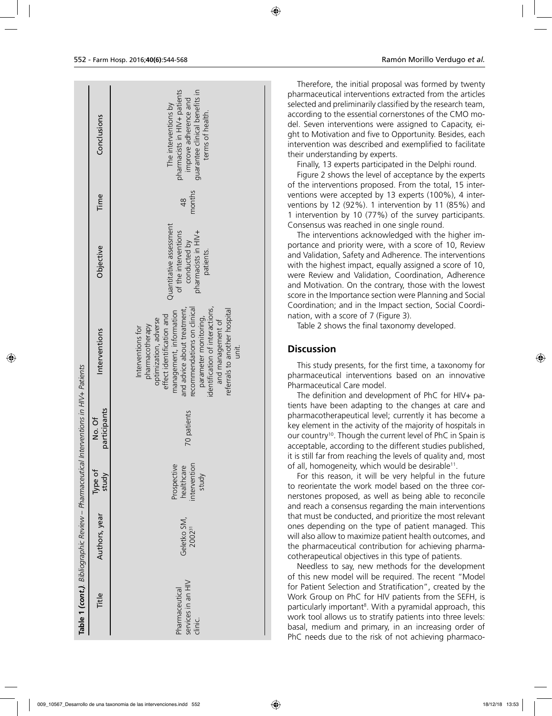|                                                                                       | Conclusions            | pharmacists in HIV+ patients<br>guarantee clinical benefits in<br>improve adherence and<br>The interventions by<br>terms of health.                                                                                                                                                                            |
|---------------------------------------------------------------------------------------|------------------------|----------------------------------------------------------------------------------------------------------------------------------------------------------------------------------------------------------------------------------------------------------------------------------------------------------------|
|                                                                                       | Time                   | months<br>$\frac{8}{4}$                                                                                                                                                                                                                                                                                        |
|                                                                                       | Objective              | Quantitative assessment<br>of the interventions<br>pharmacists in HIV+<br>conducted by<br>patients.                                                                                                                                                                                                            |
|                                                                                       | Interventions          | identification of interactions,<br>recommendations on clinical<br>and advice about treatment,<br>referrals to another hospital<br>management, information<br>effect identification and<br>parameter monitoring,<br>and management of<br>optimization, adverse<br>pharmacotherapy<br>Interventions for<br>unit. |
|                                                                                       | participants<br>No. Of | 70 patients                                                                                                                                                                                                                                                                                                    |
| Table 1 (cont.). Bibliographic Review - Pharmaceutical Interventions in HIV+ Patients | Type of<br>study       | intervention<br>Prospective<br>healthcare<br>study                                                                                                                                                                                                                                                             |
|                                                                                       | Authors, year          | Geletko SM,<br>200231                                                                                                                                                                                                                                                                                          |
|                                                                                       | Title                  | services in an HIV<br>Pharmaceutical<br>clinic.                                                                                                                                                                                                                                                                |

Therefore, the initial proposal was formed by twenty pharmaceutical interventions extracted from the articles selected and preliminarily classified by the research team, according to the essential cornerstones of the CMO model. Seven interventions were assigned to Capacity, eight to Motivation and five to Opportunity. Besides, each intervention was described and exemplified to facilitate their understanding by experts.

Finally, 13 experts participated in the Delphi round.

Figure 2 shows the level of acceptance by the experts of the interventions proposed. From the total, 15 interventions were accepted by 13 experts (100%), 4 interventions by 12 (92%). 1 intervention by 11 (85%) and 1 intervention by 10 (77%) of the survey participants. Consensus was reached in one single round.

The interventions acknowledged with the higher importance and priority were, with a score of 10, Review and Validation, Safety and Adherence. The interventions with the highest impact, equally assigned a score of 10, were Review and Validation, Coordination, Adherence and Motivation. On the contrary, those with the lowest score in the Importance section were Planning and Social Coordination; and in the Impact section, Social Coordination, with a score of 7 (Figure 3).

Table 2 shows the final taxonomy developed.

#### **Discussion**

This study presents, for the first time, a taxonomy for pharmaceutical interventions based on an innovative Pharmaceutical Care model.

The definition and development of PhC for HIV+ patients have been adapting to the changes at care and pharmacotherapeutical level; currently it has become a key element in the activity of the majority of hospitals in our country<sup>10</sup>. Though the current level of PhC in Spain is acceptable, according to the different studies published, it is still far from reaching the levels of quality and, most of all, homogeneity, which would be desirable<sup>11</sup>.

For this reason, it will be very helpful in the future to reorientate the work model based on the three cornerstones proposed, as well as being able to reconcile and reach a consensus regarding the main interventions that must be conducted, and prioritize the most relevant ones depending on the type of patient managed. This will also allow to maximize patient health outcomes, and the pharmaceutical contribution for achieving pharmacotherapeutical objectives in this type of patients.

Needless to say, new methods for the development of this new model will be required. The recent "Model for Patient Selection and Stratification", created by the Work Group on PhC for HIV patients from the SEFH, is particularly important<sup>8</sup>. With a pyramidal approach, this work tool allows us to stratify patients into three levels: basal, medium and primary, in an increasing order of PhC needs due to the risk of not achieving pharmaco-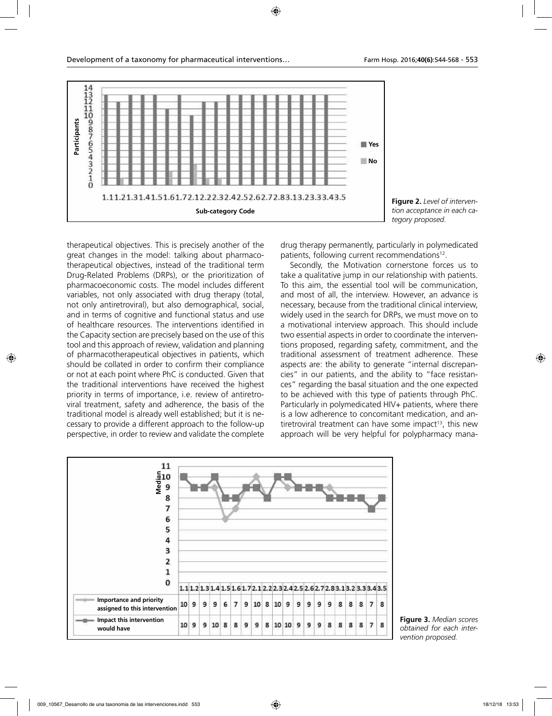

**Figure 2.** *Level of intervention acceptance in each category proposed.*

therapeutical objectives. This is precisely another of the great changes in the model: talking about pharmacotherapeutical objectives, instead of the traditional term Drug-Related Problems (DRPs), or the prioritization of pharmacoeconomic costs. The model includes different variables, not only associated with drug therapy (total, not only antiretroviral), but also demographical, social, and in terms of cognitive and functional status and use of healthcare resources. The interventions identified in the Capacity section are precisely based on the use of this tool and this approach of review, validation and planning of pharmacotherapeutical objectives in patients, which should be collated in order to confirm their compliance or not at each point where PhC is conducted. Given that the traditional interventions have received the highest priority in terms of importance, i.e. review of antiretroviral treatment, safety and adherence, the basis of the traditional model is already well established; but it is necessary to provide a different approach to the follow-up perspective, in order to review and validate the complete

drug therapy permanently, particularly in polymedicated patients, following current recommendations<sup>12</sup>.

Secondly, the Motivation cornerstone forces us to take a qualitative jump in our relationship with patients. To this aim, the essential tool will be communication, and most of all, the interview. However, an advance is necessary, because from the traditional clinical interview, widely used in the search for DRPs, we must move on to a motivational interview approach. This should include two essential aspects in order to coordinate the interventions proposed, regarding safety, commitment, and the traditional assessment of treatment adherence. These aspects are: the ability to generate "internal discrepancies" in our patients, and the ability to "face resistances" regarding the basal situation and the one expected to be achieved with this type of patients through PhC. Particularly in polymedicated HIV+ patients, where there is a low adherence to concomitant medication, and antiretroviral treatment can have some impact<sup>13</sup>, this new approach will be very helpful for polypharmacy mana-



**Figure 3.** *Median scores obtained for each intervention proposed.*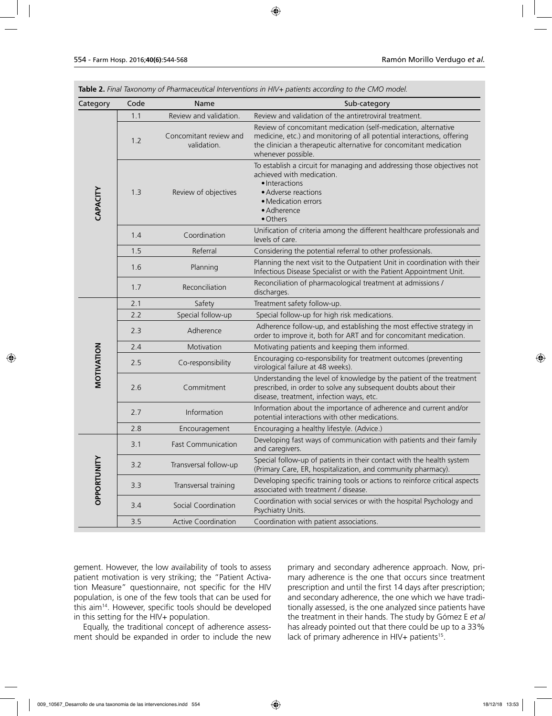| Category    | Code | Name                                  | Sub-category                                                                                                                                                                                                                         |
|-------------|------|---------------------------------------|--------------------------------------------------------------------------------------------------------------------------------------------------------------------------------------------------------------------------------------|
|             | 1.1  | Review and validation.                | Review and validation of the antiretroviral treatment.                                                                                                                                                                               |
|             | 1.2  | Concomitant review and<br>validation. | Review of concomitant medication (self-medication, alternative<br>medicine, etc.) and monitoring of all potential interactions, offering<br>the clinician a therapeutic alternative for concomitant medication<br>whenever possible. |
| CAPACITY    | 1.3  | Review of objectives                  | To establish a circuit for managing and addressing those objectives not<br>achieved with medication.<br>· Interactions<br>• Adverse reactions<br>• Medication errors<br>• Adherence<br>· Others                                      |
|             | 1.4  | Coordination                          | Unification of criteria among the different healthcare professionals and<br>levels of care.                                                                                                                                          |
|             | 1.5  | Referral                              | Considering the potential referral to other professionals.                                                                                                                                                                           |
|             | 1.6  | Planning                              | Planning the next visit to the Outpatient Unit in coordination with their<br>Infectious Disease Specialist or with the Patient Appointment Unit.                                                                                     |
|             | 1.7  | Reconciliation                        | Reconciliation of pharmacological treatment at admissions /<br>discharges.                                                                                                                                                           |
|             | 2.1  | Safety                                | Treatment safety follow-up.                                                                                                                                                                                                          |
|             | 2.2  | Special follow-up                     | Special follow-up for high risk medications.                                                                                                                                                                                         |
|             | 2.3  | Adherence                             | Adherence follow-up, and establishing the most effective strategy in<br>order to improve it, both for ART and for concomitant medication.                                                                                            |
|             | 2.4  | Motivation                            | Motivating patients and keeping them informed.                                                                                                                                                                                       |
| MOTIVATION  | 2.5  | Co-responsibility                     | Encouraging co-responsibility for treatment outcomes (preventing<br>virological failure at 48 weeks).                                                                                                                                |
|             | 2.6  | Commitment                            | Understanding the level of knowledge by the patient of the treatment<br>prescribed, in order to solve any subsequent doubts about their<br>disease, treatment, infection ways, etc.                                                  |
|             | 2.7  | Information                           | Information about the importance of adherence and current and/or<br>potential interactions with other medications.                                                                                                                   |
|             | 2.8  | Encouragement                         | Encouraging a healthy lifestyle. (Advice.)                                                                                                                                                                                           |
|             | 3.1  | <b>Fast Communication</b>             | Developing fast ways of communication with patients and their family<br>and caregivers.                                                                                                                                              |
|             | 3.2  | Transversal follow-up                 | Special follow-up of patients in their contact with the health system<br>(Primary Care, ER, hospitalization, and community pharmacy).                                                                                                |
| OPPORTUNITY | 3.3  | Transversal training                  | Developing specific training tools or actions to reinforce critical aspects<br>associated with treatment / disease.                                                                                                                  |
|             | 3.4  | Social Coordination                   | Coordination with social services or with the hospital Psychology and<br>Psychiatry Units.                                                                                                                                           |
|             | 3.5  | <b>Active Coordination</b>            | Coordination with patient associations.                                                                                                                                                                                              |

|  |  |  |  | <b>Table 2.</b> Final Taxonomy of Pharmaceutical Interventions in HIV+ patients according to the CMO model. |  |  |  |  |  |
|--|--|--|--|-------------------------------------------------------------------------------------------------------------|--|--|--|--|--|
|--|--|--|--|-------------------------------------------------------------------------------------------------------------|--|--|--|--|--|

gement. However, the low availability of tools to assess patient motivation is very striking; the "Patient Activation Measure" questionnaire, not specific for the HIV population, is one of the few tools that can be used for this aim14. However, specific tools should be developed in this setting for the HIV+ population.

Equally, the traditional concept of adherence assessment should be expanded in order to include the new primary and secondary adherence approach. Now, primary adherence is the one that occurs since treatment prescription and until the first 14 days after prescription; and secondary adherence, the one which we have traditionally assessed, is the one analyzed since patients have the treatment in their hands. The study by Gómez E *et al* has already pointed out that there could be up to a 33% lack of primary adherence in HIV+ patients<sup>15</sup>.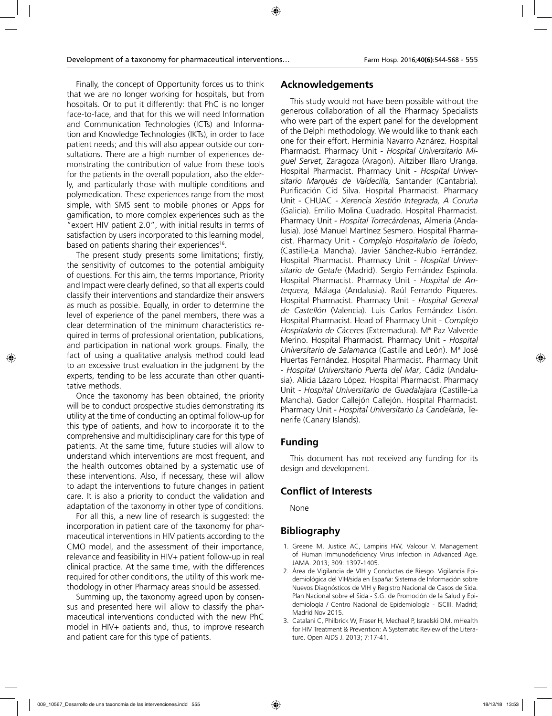Finally, the concept of Opportunity forces us to think that we are no longer working for hospitals, but from hospitals. Or to put it differently: that PhC is no longer face-to-face, and that for this we will need Information and Communication Technologies (ICTs) and Information and Knowledge Technologies (IKTs), in order to face patient needs; and this will also appear outside our consultations. There are a high number of experiences demonstrating the contribution of value from these tools for the patients in the overall population, also the elderly, and particularly those with multiple conditions and polymedication. These experiences range from the most simple, with SMS sent to mobile phones or Apps for gamification, to more complex experiences such as the "expert HIV patient 2.0", with initial results in terms of satisfaction by users incorporated to this learning model, based on patients sharing their experiences<sup>16</sup>.

The present study presents some limitations; firstly, the sensitivity of outcomes to the potential ambiguity of questions. For this aim, the terms Importance, Priority and Impact were clearly defined, so that all experts could classify their interventions and standardize their answers as much as possible. Equally, in order to determine the level of experience of the panel members, there was a clear determination of the minimum characteristics required in terms of professional orientation, publications, and participation in national work groups. Finally, the fact of using a qualitative analysis method could lead to an excessive trust evaluation in the judgment by the experts, tending to be less accurate than other quantitative methods.

Once the taxonomy has been obtained, the priority will be to conduct prospective studies demonstrating its utility at the time of conducting an optimal follow-up for this type of patients, and how to incorporate it to the comprehensive and multidisciplinary care for this type of patients. At the same time, future studies will allow to understand which interventions are most frequent, and the health outcomes obtained by a systematic use of these interventions. Also, if necessary, these will allow to adapt the interventions to future changes in patient care. It is also a priority to conduct the validation and adaptation of the taxonomy in other type of conditions.

For all this, a new line of research is suggested: the incorporation in patient care of the taxonomy for pharmaceutical interventions in HIV patients according to the CMO model, and the assessment of their importance, relevance and feasibility in HIV+ patient follow-up in real clinical practice. At the same time, with the differences required for other conditions, the utility of this work methodology in other Pharmacy areas should be assessed.

Summing up, the taxonomy agreed upon by consensus and presented here will allow to classify the pharmaceutical interventions conducted with the new PhC model in HIV+ patients and, thus, to improve research and patient care for this type of patients.

### **Acknowledgements**

This study would not have been possible without the generous collaboration of all the Pharmacy Specialists who were part of the expert panel for the development of the Delphi methodology. We would like to thank each one for their effort. Herminia Navarro Aznárez. Hospital Pharmacist. Pharmacy Unit - *Hospital Universitario Miguel Servet*, Zaragoza (Aragon). Aitziber Illaro Uranga. Hospital Pharmacist. Pharmacy Unit - *Hospital Universitario Marqués de Valdecilla,* Santander (Cantabria). Purificación Cid Silva. Hospital Pharmacist. Pharmacy Unit - CHUAC - *Xerencia Xestión Integrada, A Coruña*  (Galicia). Emilio Molina Cuadrado. Hospital Pharmacist. Pharmacy Unit - *Hospital Torrecárdenas*, Almeria (Andalusia). José Manuel Martínez Sesmero. Hospital Pharmacist. Pharmacy Unit - *Complejo Hospitalario de Toledo*, (Castille-La Mancha). Javier Sánchez-Rubio Ferrández. Hospital Pharmacist. Pharmacy Unit - *Hospital Universitario de Getafe* (Madrid). Sergio Fernández Espinola. Hospital Pharmacist. Pharmacy Unit - *Hospital de Antequera,* Málaga (Andalusia). Raúl Ferrando Piqueres. Hospital Pharmacist. Pharmacy Unit - *Hospital General de Castellón* (Valencia). Luis Carlos Fernández Lisón. Hospital Pharmacist. Head of Pharmacy Unit - *Complejo Hospitalario de Cáceres* (Extremadura). Mª Paz Valverde Merino. Hospital Pharmacist. Pharmacy Unit - *Hospital Universitario de Salamanca* (Castille and León). Mª José Huertas Fernández. Hospital Pharmacist. Pharmacy Unit - *Hospital Universitario Puerta del Mar*, Cádiz (Andalusia). Alicia Lázaro López. Hospital Pharmacist. Pharmacy Unit - *Hospital Universitario de Guadalajara* (Castille-La Mancha). Gador Callejón Callejón. Hospital Pharmacist. Pharmacy Unit - *Hospital Universitario La Candelaria*, Tenerife (Canary Islands).

### **Funding**

This document has not received any funding for its design and development.

## **Conflict of Interests**

None

# **Bibliography**

- 1. Greene M, Justice AC, Lampiris HW, Valcour V. Management of Human Immunodeficiency Virus Infection in Advanced Age. JAMA. 2013; 309: 1397-1405.
- 2. Área de Vigilancia de VIH y Conductas de Riesgo. Vigilancia Epidemiológica del VIH/sida en España: Sistema de Información sobre Nuevos Diagnósticos de VIH y Registro Nacional de Casos de Sida. Plan Nacional sobre el Sida - S.G. de Promoción de la Salud y Epidemiología / Centro Nacional de Epidemiología - ISCIII. Madrid; Madrid Nov 2015.
- 3. Catalani C, Philbrick W, Fraser H, Mechael P, Israelski DM. mHealth for HIV Treatment & Prevention: A Systematic Review of the Literature. Open AIDS J. 2013; 7:17-41.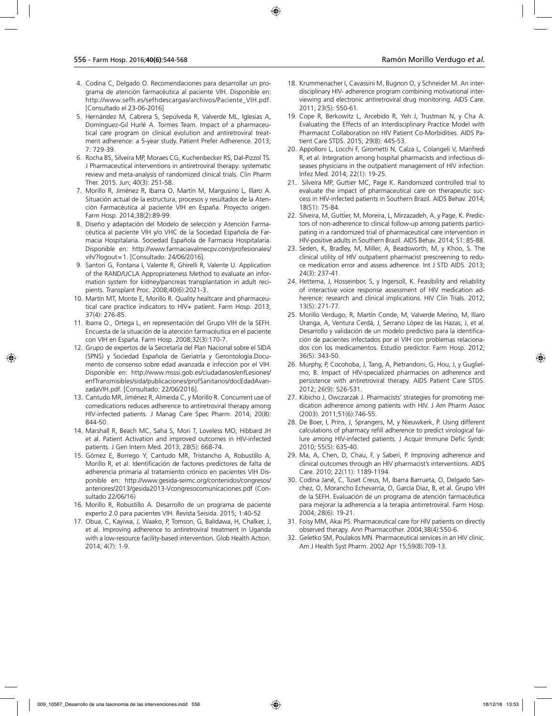- 4. Codina C, Delgado O. Recomendaciones para desarrollar un programa de atención farmacéutica al paciente VIH. Disponible en: http://www.sefh.es/sefhdescargas/archivos/Paciente\_VIH.pdf. [Consultado el 23-06-2016]
- 5. Hernández M, Cabrera S, Sepúlveda R, Valverde ML, Iglesias A, Domínguez-Gil Hurlé A. Tormes Team. Impact of a pharmaceutical care program on clinical evolution and antiretroviral treatment adherence: a 5-year study. Patient Prefer Adherence. 2013; 7: 729-39.
- 6. Rocha BS, Silveira MP, Moraes CG, Kuchenbecker RS, Dal-Pizzol TS. J Pharmaceutical interventions in antiretroviral therapy: systematic review and meta-analysis of randomized clinical trials. Clin Pharm Ther. 2015. Jun; 40(3): 251-58.
- 7. Morillo R, Jiménez R, Ibarra O, Martín M, Margusino L, Illaro A. Situación actual de la estructura, procesos y resultados de la Atención Farmacéutica al paciente VIH en España. Proyecto origen. Farm Hosp. 2014;38(2):89-99.
- 8. Diseño y adaptación del Modelo de selección y Atención Farmacéutica al paciente VIH y/o VHC de la Sociedad Española de Farmacia Hospitalaria. Sociedad Española de Farmacia Hospitalaria. Disponible en: http://www.farmaciavalmecpv.com/profesionales/ vih/?logout=1. [Consultado: 24/06/2016].
- 9. Santori G, Fontana I, Valente R, Ghirelli R, Valente U. Application of the RAND/UCLA Appropriateness Method to evaluate an information system for kidney/pancreas transplantation in adult recipients. Transplant Proc. 2008;40(6):2021-3.
- 10. Martín MT, Monte E, Morillo R. Quality healtcare and pharmaceutical care practice indicators to HIV+ patient. Farm Hosp. 2013; 37(4): 276-85.
- 11. Ibarra O., Ortega L, en representación del Grupo VIH de la SEFH. Encuesta de la situación de la atención farmacéutica en el paciente con VIH en España. Farm Hosp. 2008;32(3):170-7.
- 12. Grupo de expertos de la Secretaría del Plan Nacional sobre el SIDA (SPNS) y Sociedad Española de Geriatría y Gerontología.Documento de consenso sobre edad avanzada e infección por el VIH. Disponible en: http://www.msssi.gob.es/ciudadanos/enfLesiones/ enfTransmisibles/sida/publicaciones/profSanitarios/docEdadAvanzadaVIH.pdf. [Consultado: 22/06/2016].
- 13. Cantudo MR, Jiménez R, Almeida C, y Morillo R. Concurrent use of comedications reduces adherence to antiretroviral therapy among HIV-infected patients. J Manag Care Spec Pharm. 2014; 20(8): 844-50.
- 14. Marshall R, Beach MC, Saha S, Mori T, Loveless MO, Hibbard JH et al. Patient Activation and improved outcomes in HIV-infected patients. J Gen Intern Med. 2013; 28(5): 668-74.
- 15. Gómez E, Borrego Y, Cantudo MR, Tristancho A, Robustillo A, Morillo R, et al. Identificación de factores predictores de falta de adherencia primaria al tratamiento crónico en pacientes VIH Disponible en: http://www.gesida-seimc.org/contenidos/congresos/ anteriores/2013/gesida2013-Vcongresocomunicaciones.pdf (Consultado 22/06/16)
- 16. Morillo R, Robustillo A. Desarrollo de un programa de paciente experto 2.0 para pacientes VIH. Revista Seisida. 2015; 1:40-52
- 17. Obua, C, Kayiwa, J, Waako, P, Tomson, G, Balidawa, H, Chalker, J, et al. Improving adherence to antiretroviral treatment in Uganda with a low-resource facility-based intervention. Glob Health Action. 2014; 4(7): 1-9.
- 18. Krummenacher I, Cavassini M, Bugnon O, y Schneider M. An interdisciplinary HIV- adherence program combining motivational interviewing and electronic antiretroviral drug monitoring. AIDS Care. 2011; 23(5): 550-61.
- 19. Cope R, Berkowitz L, Arcebido R, Yeh J, Trustman N, y Cha A. Evaluating the Effects of an Interdisciplinary Practice Model with Pharmacist Collaboration on HIV Patient Co-Morbidities. AIDS Patient Care STDS. 2015; 29(8): 445-53.
- 20. Appolloni L, Locchi F, Girometti N, Calza L, Colangeli V, Manfredi R, et al. Integration among hospital pharmacists and infectious diseases physicians in the outpatient management of HIV infection. Infez Med. 2014; 22(1): 19-25.
- 21. Silveira MP, Guttier MC, Page K. Randomized controlled trial to evaluate the impact of pharmaceutical care on therapeutic success in HIV-infected patients in Southern Brazil. AIDS Behav. 2014; 18(S1): 75-84.
- 22. Silveira, M, Guttier, M, Moreira, L, Mirzazadeh, A, y Page, K. Predictors of non-adherence to clinical follow-up among patients participating in a randomized trial of pharmaceutical care intervention in HIV-positive adults in Southern Brazil. AIDS Behav. 2014; S1: 85-88.
- 23. Seden, K, Bradley, M, Miller, A, Beadsworth, M, y Khoo, S. The clinical utility of HIV outpatient pharmacist prescreening to reduce medication error and assess adherence. Int J STD AIDS. 2013; 24(3): 237-41.
- 24. Hettema, J, Hosseinbor, S, y Ingersoll, K. Feasibility and reliability of interactive voice response assessment of HIV medication adherence: research and clinical implications. HIV Clin Trials. 2012; 13(5): 271-77.
- 25. Morillo Verdugo, R, Martín Conde, M, Valverde Merino, M, Illaro Uranga, A, Ventura Cerdá, J, Serrano López de las Hazas, J, et al. Desarrollo y validación de un modelo predictivo para la identificación de pacientes infectados por el VIH con problemas relacionados con los medicamentos. Estudio predictor. Farm Hosp. 2012; 36(5): 343-50.
- 26. Murphy, P, Cocohoba, J, Tang, A, Pietrandoni, G, Hou, J, y Guglielmo, B. Impact of HIV-specialized pharmacies on adherence and persistence with antiretroviral therapy. AIDS Patient Care STDS. 2012; 26(9): 526-531.
- 27. Kibicho J, Owczarzak J. Pharmacists' strategies for promoting medication adherence among patients with HIV. J Am Pharm Assoc (2003). 2011;51(6):746-55.
- 28. De Boer, I, Prins, J, Sprangers, M, y Nieuwkerk, P. Using different calculations of pharmacy refill adherence to predict virological failure among HIV-infected patients. J Acquir Immune Defic Syndr. 2010; 55(5): 635-40.
- 29. Ma, A, Chen, D, Chau, F, y Saberi, P. Improving adherence and clinical outcomes through an HIV pharmacist's interventions. AIDS Care. 2010; 22(11): 1189-1194.
- 30. Codina Jané, C, Tuset Creus, M, Ibarra Barrueta, O, Delgado Sánchez, O, Morancho Echevarría, O, García Díaz, B, et al. Grupo VIH de la SEFH. Evaluación de un programa de atención farmacéutica para mejorar la adherencia a la terapia antirretroviral. Farm Hosp. 2004; 28(6): 19-21.
- 31. Foisy MM, Akai PS. Pharmaceutical care for HIV patients on directly observed therapy. Ann Pharmacother. 2004;38(4):550-6.
- 32. Geletko SM, Poulakos MN. Pharmaceutical services in an HIV clinic. Am J Health Syst Pharm. 2002 Apr 15;59(8):709-13.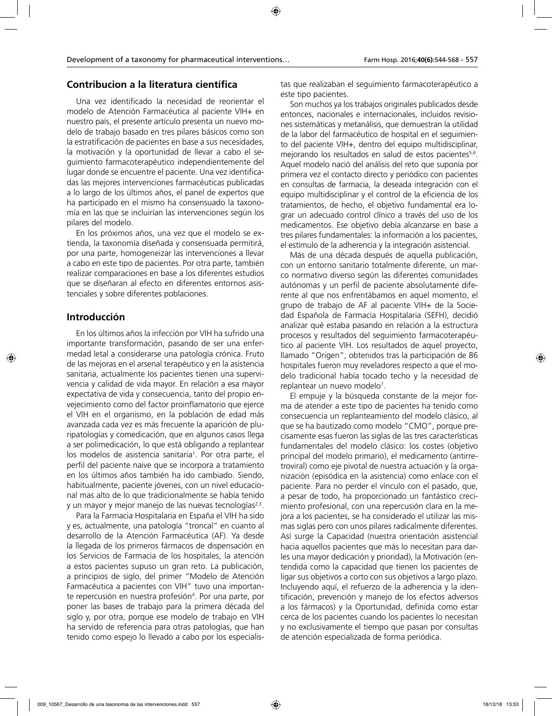### **Contribucion a la literatura científica**

Una vez identificado la necesidad de reorientar el modelo de Atención Farmacéutica al paciente VIH+ en nuestro país, el presente artículo presenta un nuevo modelo de trabajo basado en tres pilares básicos como son la estratificación de pacientes en base a sus necesidades, la motivación y la oportunidad de llevar a cabo el seguimiento farmacoterapéutico independientemente del lugar donde se encuentre el paciente. Una vez identificadas las mejores intervenciones farmacéuticas publicadas a lo largo de los últimos años, el panel de expertos que ha participado en el mismo ha consensuado la taxonomía en las que se incluirían las intervenciones según los pilares del modelo.

En los próximos años, una vez que el modelo se extienda, la taxonomía diseñada y consensuada permitirá, por una parte, homogeneizar las intervenciones a llevar a cabo en este tipo de pacientes. Por otra parte, también realizar comparaciones en base a los diferentes estudios que se diseñaran al efecto en diferentes entornos asistenciales y sobre diferentes poblaciones.

### **Introducción**

En los últimos años la infección por VIH ha sufrido una importante transformación, pasando de ser una enfermedad letal a considerarse una patología crónica. Fruto de las mejoras en el arsenal terapéutico y en la asistencia sanitaria, actualmente los pacientes tienen una supervivencia y calidad de vida mayor. En relación a esa mayor expectativa de vida y consecuencia, tanto del propio envejecimiento como del factor proinflamatorio que ejerce el VIH en el organismo, en la población de edad más avanzada cada vez es más frecuente la aparición de pluripatologías y comedicación, que en algunos casos llega a ser polimedicación, lo que está obligando a replantear los modelos de asistencia sanitaria<sup>1</sup>. Por otra parte, el perfil del paciente naive que se incorpora a tratamiento en los últimos años también ha ido cambiado. Siendo, habitualmente, paciente jóvenes, con un nivel educacional mas alto de lo que tradicionalmente se había tenido y un mayor y mejor manejo de las nuevas tecnologías<sup>2,3</sup>.

Para la Farmacia Hospitalaria en España el VIH ha sido y es, actualmente, una patología "troncal" en cuanto al desarrollo de la Atención Farmacéutica (AF). Ya desde la llegada de los primeros fármacos de dispensación en los Servicios de Farmacia de los hospitales, la atención a estos pacientes supuso un gran reto. La publicación, a principios de siglo, del primer "Modelo de Atención Farmacéutica a pacientes con VIH" tuvo una importante repercusión en nuestra profesión<sup>4</sup>. Por una parte, por poner las bases de trabajo para la primera década del siglo y, por otra, porque ese modelo de trabajo en VIH ha servido de referencia para otras patologías, que han tenido como espejo lo llevado a cabo por los especialistas que realizaban el seguimiento farmacoterapéutico a este tipo pacientes.

Son muchos ya los trabajos originales publicados desde entonces, nacionales e internacionales, incluidos revisiones sistemáticas y metanálisis, que demuestran la utilidad de la labor del farmacéutico de hospital en el seguimiento del paciente VIH+, dentro del equipo multidisciplinar, mejorando los resultados en salud de estos pacientes<sup>5,6</sup>. Aquel modelo nació del análisis del reto que suponía por primera vez el contacto directo y periódico con pacientes en consultas de farmacia, la deseada integración con el equipo multidisciplinar y el control de la eficiencia de los tratamientos, de hecho, el objetivo fundamental era lograr un adecuado control clínico a través del uso de los medicamentos. Ese objetivo debía alcanzarse en base a tres pilares fundamentales: la información a los pacientes, el estímulo de la adherencia y la integración asistencial.

Más de una década después de aquella publicación, con un entorno sanitario totalmente diferente, un marco normativo diverso según las diferentes comunidades autónomas y un perfil de paciente absolutamente diferente al que nos enfrentábamos en aquel momento, el grupo de trabajo de AF al paciente VIH+ de la Sociedad Española de Farmacia Hospitalaria (SEFH), decidió analizar qué estaba pasando en relación a la estructura procesos y resultados del seguimiento farmacoterapéutico al paciente VIH. Los resultados de aquel proyecto, llamado "Origen", obtenidos tras la participación de 86 hospitales fueron muy reveladores respecto a que el modelo tradicional había tocado techo y la necesidad de replantear un nuevo modelo<sup>7</sup>.

El empuje y la búsqueda constante de la mejor forma de atender a este tipo de pacientes ha tenido como consecuencia un replanteamiento del modelo clásico, al que se ha bautizado como modelo "CMO", porque precisamente esas fueron las siglas de las tres características fundamentales del modelo clásico: los costes (objetivo principal del modelo primario), el medicamento (antirretroviral) como eje pivotal de nuestra actuación y la organización (episódica en la asistencia) como enlace con el paciente. Para no perder el vínculo con el pasado, que, a pesar de todo, ha proporcionado un fantástico crecimiento profesional, con una repercusión clara en la mejora a los pacientes, se ha considerado el utilizar las mismas siglas pero con unos pilares radicalmente diferentes. Así surge la Capacidad (nuestra orientación asistencial hacia aquellos pacientes que más lo necesitan para darles una mayor dedicación y prioridad), la Motivación (entendida como la capacidad que tienen los pacientes de ligar sus objetivos a corto con sus objetivos a largo plazo. Incluyendo aquí, el refuerzo de la adherencia y la identificación, prevención y manejo de los efectos adversos a los fármacos) y la Oportunidad, definida como estar cerca de los pacientes cuando los pacientes lo necesitan y no exclusivamente el tiempo que pasan por consultas de atención especializada de forma periódica.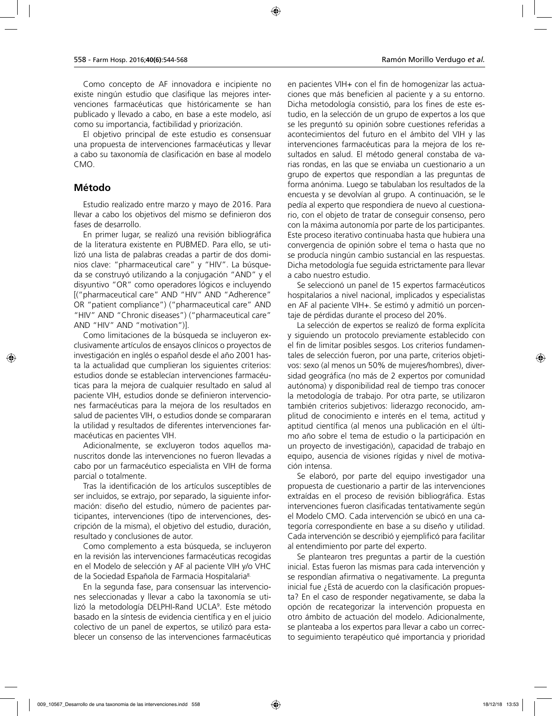Como concepto de AF innovadora e incipiente no existe ningún estudio que clasifique las mejores intervenciones farmacéuticas que históricamente se han publicado y llevado a cabo, en base a este modelo, así como su importancia, factibilidad y priorización.

El objetivo principal de este estudio es consensuar una propuesta de intervenciones farmacéuticas y llevar a cabo su taxonomía de clasificación en base al modelo CMO.

#### **Método**

Estudio realizado entre marzo y mayo de 2016. Para llevar a cabo los objetivos del mismo se definieron dos fases de desarrollo.

En primer lugar, se realizó una revisión bibliográfica de la literatura existente en PUBMED. Para ello, se utilizó una lista de palabras creadas a partir de dos dominios clave: "pharmaceutical care" y "HIV". La búsqueda se construyó utilizando a la conjugación "AND" y el disyuntivo "OR" como operadores lógicos e incluyendo [("pharmaceutical care" AND "HIV" AND "Adherence" OR "patient compliance") ("pharmaceutical care" AND "HIV" AND "Chronic diseases") ("pharmaceutical care" AND "HIV" AND "motivation")].

Como limitaciones de la búsqueda se incluyeron exclusivamente artículos de ensayos clínicos o proyectos de investigación en inglés o español desde el año 2001 hasta la actualidad que cumplieran los siguientes criterios: estudios donde se establecían intervenciones farmacéuticas para la mejora de cualquier resultado en salud al paciente VIH, estudios donde se definieron intervenciones farmacéuticas para la mejora de los resultados en salud de pacientes VIH, o estudios donde se compararan la utilidad y resultados de diferentes intervenciones farmacéuticas en pacientes VIH.

Adicionalmente, se excluyeron todos aquellos manuscritos donde las intervenciones no fueron llevadas a cabo por un farmacéutico especialista en VIH de forma parcial o totalmente.

Tras la identificación de los artículos susceptibles de ser incluidos, se extrajo, por separado, la siguiente información: diseño del estudio, número de pacientes participantes, intervenciones (tipo de intervenciones, descripción de la misma), el objetivo del estudio, duración, resultado y conclusiones de autor.

Como complemento a esta búsqueda, se incluyeron en la revisión las intervenciones farmacéuticas recogidas en el Modelo de selección y AF al paciente VIH y/o VHC de la Sociedad Española de Farmacia Hospitalaria<sup>8.</sup>

En la segunda fase, para consensuar las intervenciones seleccionadas y llevar a cabo la taxonomía se utilizó la metodología DELPHI-Rand UCLA9 . Este método basado en la síntesis de evidencia científica y en el juicio colectivo de un panel de expertos, se utilizó para establecer un consenso de las intervenciones farmacéuticas

en pacientes VIH+ con el fin de homogenizar las actuaciones que más beneficien al paciente y a su entorno. Dicha metodología consistió, para los fines de este estudio, en la selección de un grupo de expertos a los que se les preguntó su opinión sobre cuestiones referidas a acontecimientos del futuro en el ámbito del VIH y las intervenciones farmacéuticas para la mejora de los resultados en salud. El método general constaba de varias rondas, en las que se enviaba un cuestionario a un grupo de expertos que respondían a las preguntas de forma anónima. Luego se tabulaban los resultados de la encuesta y se devolvían al grupo. A continuación, se le pedía al experto que respondiera de nuevo al cuestionario, con el objeto de tratar de conseguir consenso, pero con la máxima autonomía por parte de los participantes. Este proceso iterativo continuaba hasta que hubiera una convergencia de opinión sobre el tema o hasta que no se producía ningún cambio sustancial en las respuestas. Dicha metodología fue seguida estrictamente para llevar a cabo nuestro estudio.

Se seleccionó un panel de 15 expertos farmacéuticos hospitalarios a nivel nacional, implicados y especialistas en AF al paciente VIH+. Se estimó y admitió un porcentaje de pérdidas durante el proceso del 20%.

La selección de expertos se realizó de forma explícita y siguiendo un protocolo previamente establecido con el fin de limitar posibles sesgos. Los criterios fundamentales de selección fueron, por una parte, criterios objetivos: sexo (al menos un 50% de mujeres/hombres), diversidad geográfica (no más de 2 expertos por comunidad autónoma) y disponibilidad real de tiempo tras conocer la metodología de trabajo. Por otra parte, se utilizaron también criterios subjetivos: liderazgo reconocido, amplitud de conocimiento e interés en el tema, actitud y aptitud científica (al menos una publicación en el último año sobre el tema de estudio o la participación en un proyecto de investigación), capacidad de trabajo en equipo, ausencia de visiones rígidas y nivel de motivación intensa.

Se elaboró, por parte del equipo investigador una propuesta de cuestionario a partir de las intervenciones extraídas en el proceso de revisión bibliográfica. Estas intervenciones fueron clasificadas tentativamente según el Modelo CMO. Cada intervención se ubicó en una categoría correspondiente en base a su diseño y utilidad. Cada intervención se describió y ejemplificó para facilitar al entendimiento por parte del experto.

Se plantearon tres preguntas a partir de la cuestión inicial. Estas fueron las mismas para cada intervención y se respondían afirmativa o negativamente. La pregunta inicial fue ¿Está de acuerdo con la clasificación propuesta? En el caso de responder negativamente, se daba la opción de recategorizar la intervención propuesta en otro ámbito de actuación del modelo. Adicionalmente, se planteaba a los expertos para llevar a cabo un correcto seguimiento terapéutico qué importancia y prioridad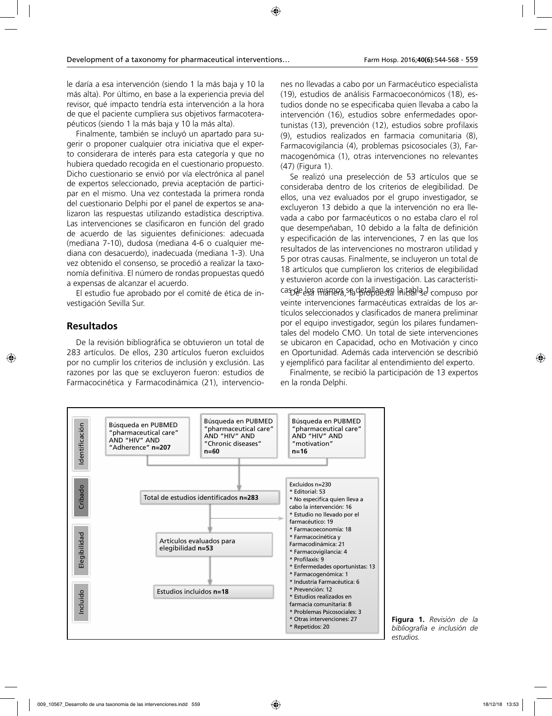le daría a esa intervención (siendo 1 la más baja y 10 la más alta). Por último, en base a la experiencia previa del revisor, qué impacto tendría esta intervención a la hora de que el paciente cumpliera sus objetivos farmacoterapéuticos (siendo 1 la más baja y 10 la más alta).

Finalmente, también se incluyó un apartado para sugerir o proponer cualquier otra iniciativa que el experto considerara de interés para esta categoría y que no hubiera quedado recogida en el cuestionario propuesto. Dicho cuestionario se envió por vía electrónica al panel de expertos seleccionado, previa aceptación de participar en el mismo. Una vez contestada la primera ronda del cuestionario Delphi por el panel de expertos se analizaron las respuestas utilizando estadística descriptiva. Las intervenciones se clasificaron en función del grado de acuerdo de las siguientes definiciones: adecuada (mediana 7-10), dudosa (mediana 4-6 o cualquier mediana con desacuerdo), inadecuada (mediana 1-3). Una vez obtenido el consenso, se procedió a realizar la taxonomía definitiva. El número de rondas propuestas quedó a expensas de alcanzar el acuerdo.

El estudio fue aprobado por el comité de ética de investigación Sevilla Sur.

#### **Resultados**

De la revisión bibliográfica se obtuvieron un total de 283 artículos. De ellos, 230 artículos fueron excluidos por no cumplir los criterios de inclusión y exclusión. Las razones por las que se excluyeron fueron: estudios de Farmacocinética y Farmacodinámica (21), intervenciones no llevadas a cabo por un Farmacéutico especialista (19), estudios de análisis Farmacoeconómicos (18), estudios donde no se especificaba quien llevaba a cabo la intervención (16), estudios sobre enfermedades oportunistas (13), prevención (12), estudios sobre profilaxis (9), estudios realizados en farmacia comunitaria (8), Farmacovigilancia (4), problemas psicosociales (3), Farmacogenómica (1), otras intervenciones no relevantes (47) (Figura 1).

Se realizó una preselección de 53 artículos que se consideraba dentro de los criterios de elegibilidad. De ellos, una vez evaluados por el grupo investigador, se excluyeron 13 debido a que la intervención no era llevada a cabo por farmacéuticos o no estaba claro el rol que desempeñaban, 10 debido a la falta de definición y especificación de las intervenciones, 7 en las que los resultados de las intervenciones no mostraron utilidad y 5 por otras causas. Finalmente, se incluyeron un total de 18 artículos que cumplieron los criterios de elegibilidad y estuvieron acorde con la investigación. Las características de los mismos se detallan en la tabla el compuso por veinte intervenciones farmacéuticas extraídas de los artículos seleccionados y clasificados de manera preliminar por el equipo investigador, según los pilares fundamentales del modelo CMO. Un total de siete intervenciones se ubicaron en Capacidad, ocho en Motivación y cinco en Oportunidad. Además cada intervención se describió y ejemplificó para facilitar al entendimiento del experto.

Finalmente, se recibió la participación de 13 expertos en la ronda Delphi.



**Figura 1.** *Revisión de la bibliografía e inclusión de estudios.*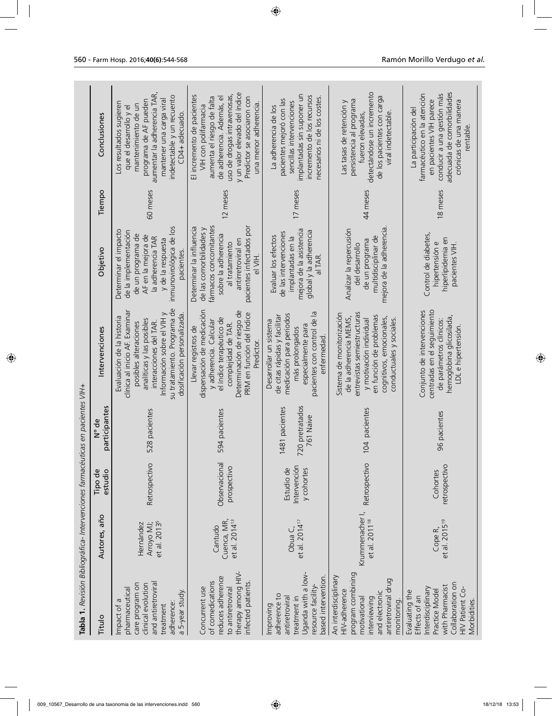| Tabla 1. Revisión Bibliográfica- Intervenciones farmacéuticas en pacientes VIH+                                                                    |                                                     |                                          |                                                |                                                                                                                                                                                                                                        |                                                                                                                                                                                     |          |                                                                                                                                                                                                                                      |
|----------------------------------------------------------------------------------------------------------------------------------------------------|-----------------------------------------------------|------------------------------------------|------------------------------------------------|----------------------------------------------------------------------------------------------------------------------------------------------------------------------------------------------------------------------------------------|-------------------------------------------------------------------------------------------------------------------------------------------------------------------------------------|----------|--------------------------------------------------------------------------------------------------------------------------------------------------------------------------------------------------------------------------------------|
| Titulo                                                                                                                                             | Autores, año                                        | estudio<br>Tipo de                       | participantes<br>N° de                         | Intervenciones                                                                                                                                                                                                                         | Objetivo                                                                                                                                                                            | Tiempo   | Conclusiones                                                                                                                                                                                                                         |
| and antiretroviral<br>care program on<br>clinical evolution<br>pharmaceutical<br>a 5-year study.<br>Impact of a<br>adherence:<br>treatment         | Arroyo MJ;<br>et al. 2013 <sup>5</sup><br>Hernández | Retrospectivo                            | 528 pacientes                                  | su tratamiento. Programa de<br>clínica al inicio AF. Examinar<br>Información sobre el VIH y<br>dosificación personalizada<br>Evaluación de la historia<br>analíticas y las posibles<br>interacciones del TAR.<br>posibles alteraciones | inmunovirológica de los<br>Determinar el impacto<br>de la implementación<br>de un programa de<br>AF en la mejora de<br>la adherencia TAR<br>y de la respuesta<br>pacientes          | 60 meses | aumentar la adherencia TAR,<br>indetectable y un recuento<br>mantener una carga viral<br>programa de AF pueden<br>Los resultados sugieren<br>mantenimiento de un<br>que el desarrollo y el<br>CD4+ adecuado                          |
| therapy among HIV-<br>reduces adherence<br>of comedications<br>infected patients.<br>Concurrent use<br>to antiretroviral                           | et al. 2014 <sup>13</sup><br>Cuenca, MR,<br>Cantudo | Observacional<br>prospectivo             | 594 pacientes                                  | dispensación de medicación<br>Determinación de riesgo de<br>PRM en función del Indice<br>el índice terapéutico de<br>y adherencia. Calcular<br>complejidad de TAR.<br>Llevar registros de<br>Predictor                                 | fármacos concomitantes<br>pacientes infectados por<br>Determinar la influencia<br>de las comorbilidades y<br>sobre la adherencia<br>antirretroviral en<br>al tratamiento<br>el VIH. | 12 meses | y un valor elevado del índice<br>uso de drogas intravenosas,<br>El incremento de pacientes<br>aumenta el riesgo de falta<br>de adherencia. Además, el<br>Predictor se asociaron con<br>una menor adherencia.<br>VIH con polifarmacia |
| Uganda with a low-<br>based intervention.<br>resource facility-<br>adherence to<br>antiretroviral<br>treatment in<br>Improving                     | et al. 2014 <sup>17</sup><br>Obua C,                | Intervención<br>Estudio de<br>y cohortes | 720 pretratados<br>1481 pacientes<br>761 Naive | pacientes con control de la<br>medicación para periodos<br>de citas rápidas y facilitar<br>Desarrollar un sistema<br>especialmente para<br>más prolongados<br>enfermedad                                                               | mejora de la asistencia<br>global y la adherencia<br>de las intervenciones<br>Evaluar los efectos<br>implantadas en la<br>al TAR.                                                   | 17 meses | implantadas sin suponer un<br>incremento de los recursos<br>necesarios ni de los costes.<br>pacientes mejoró con las<br>sencillas intervenciones<br>La adherencia de los                                                             |
| program combining<br>An interdisciplinary<br>antiretroviral drug<br>HIV-adherence<br>and electronic<br>interviewing<br>motivational<br>monitoring. | Krummenacher I,<br>et al. 2011 <sup>18</sup>        | Retrospectivo                            | 104 pacientes                                  | entrevistas semiestructuras<br>Sistema de monitorización<br>en función de problemas<br>de la adherencia MEMS,<br>cognitivos, emocionales,<br>y motivación individual<br>conductuales y sociales                                        | mejora de la adherencia<br>Analizar la repercusión<br>multidisciplinar de<br>de un programa<br>del desarrollo                                                                       | 44 meses | detectándose un incremento<br>de los pacientes con carga<br>persistencia al programa<br>Las tasas de retención y<br>viral indetectable<br>tueron elevadas                                                                            |
| Collaboration on<br>with Pharmacist<br>Interdisciplinary<br>HIV Patient Co-<br>Practice Model<br>Evaluating the<br>Effects of an<br>Morbidities.   | et al. 2015 <sup>19</sup><br>Cope <sub>R</sub>      | retrospectivo<br>Cohortes                | 96 pacientes                                   | centradas en el seguimiento<br>Conjunto de intervenciones<br>hemoglobina glicosilada,<br>de parámetros clínicos:<br>LDL e hipertensión                                                                                                 | Control de diabetes,<br>hiperlipidemia en<br>hipertensión e<br>pacientes VIH.                                                                                                       | 18 meses | adecuada de comorbilidades<br>farmacéutico en la atención<br>conducir a una gestión más<br>en pacientes VIH parece<br>crónicas de una manera<br>La participación del<br>rentable                                                     |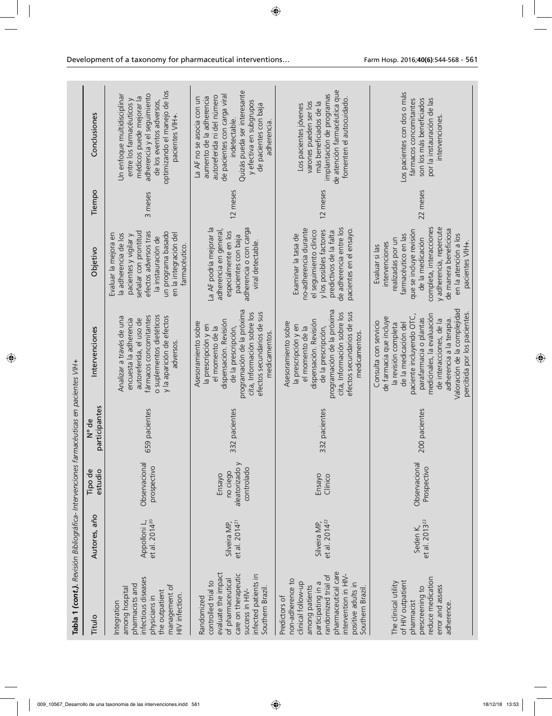| Tabla 1 (cont.). Revisión Bibliográfica- Intervenciones farmacéuticas en pacientes VIH+                                                                                                                         |                                           |                                                    |                        |                                                                                                                                                                                                                                                                                                            |                                                                                                                                                                                                                                                       |          |                                                                                                                                                                                                                                       |
|-----------------------------------------------------------------------------------------------------------------------------------------------------------------------------------------------------------------|-------------------------------------------|----------------------------------------------------|------------------------|------------------------------------------------------------------------------------------------------------------------------------------------------------------------------------------------------------------------------------------------------------------------------------------------------------|-------------------------------------------------------------------------------------------------------------------------------------------------------------------------------------------------------------------------------------------------------|----------|---------------------------------------------------------------------------------------------------------------------------------------------------------------------------------------------------------------------------------------|
| Titulo                                                                                                                                                                                                          | Autores, año                              | Tipo de<br>estudio                                 | participantes<br>N° de | Intervenciones                                                                                                                                                                                                                                                                                             | Objetivo                                                                                                                                                                                                                                              | Tiempo   | Conclusiones                                                                                                                                                                                                                          |
| infectious diseases<br>pharmacists and<br>management of<br>among hospital<br>the outpatient<br>HIV infection.<br>physicians in<br>Integration                                                                   | et al. 2014 <sup>20</sup><br>Appolloni L, | Observacional<br>prospectivo                       | 559 pacientes          | fármacos concomitantes<br>o suplementos dietéticos<br>Analizar a través de una<br>y la aparición de efectos<br>encuesta la adherencia<br>autoreferida, el uso de<br>adversos                                                                                                                               | señalar con prontitud<br>efectos adversos tras<br>un programa basado<br>la adherencia de los<br>en la integración del<br>Evaluar la mejora en<br>pacientes y vigilar y<br>la instauración de<br>farmacéutico                                          | 3 meses  | optimizando el manejo de los<br>adherencia y el seguimiento<br>Un enfoque multidisciplinar<br>médicos puede mejorar la<br>entre los farmacéuticos y<br>de los eventos adversos,<br>pacientes VIH+                                     |
| evaluate the impact<br>care on therapeutic<br>infected patients in<br>of pharmaceutical<br>controlled trial to<br>Southern Brazil.<br>success in HIV-<br>Randomized                                             | et al. $2014^{21}$<br>Silveira MP,        | aleatorizado y<br>controlado<br>no ciego<br>Ensayo | 332 pacientes          | programación de la próxima<br>efectos secundarios de sus<br>cita, Información sobre los<br>dispensación. Revisión<br>Asesoramiento sobre<br>la prescripción y en<br>el momento de la<br>de la prescripción,<br>medicamentos.                                                                               | La AF podría mejorar la<br>adherencia o con carga<br>adherencia en general,<br>especialmente en los<br>pacientes con baja<br>viral detectable.                                                                                                        | 12 meses | Quizás pueda ser interesante<br>de pacientes con carga viral<br>autoreferida ni del número<br>aumento de la adherencia<br>La AF no se asocia con un<br>y efectiva en subgrupos<br>de pacientes con baja<br>indetectable<br>adherencia |
| pharmaceutical care<br>randomized trial of<br>intervention in HIV-<br>non-adherence to<br>clinical follow-up<br>participating in a<br>positive adults in<br>among patients<br>Southern Brazil.<br>Predictors of | et al. $2014^{22}$<br>Silveira MP,        | Ensayo<br>Clínico                                  | 332 pacientes          | programación de la próxima<br>cita, Información sobre los<br>efectos secundarios de sus<br>dispensación. Revisión<br>Asesoramiento sobre<br>la prescripción y en<br>el momento de la<br>de la prescripción,<br>medicamentos                                                                                | de adherencia entre los<br>no-adherencia durante<br>pacientes en el ensayo.<br>y los posibles factores<br>el seguimiento clínico<br>predictivos de la falta<br>Examinar la tasa de                                                                    | 12 meses | de atención farmacéutica que<br>implantación de programas<br>fomenten el autocuidado.<br>varones pueden ser los<br>más beneficiados de la<br>Los pacientes jóvenes                                                                    |
| reduce medication<br>of HIV outpatient<br>The clinical utility<br>error and assess<br>prescreening to<br>pharmacist<br>adherence                                                                                | et al. 2013 <sup>23</sup><br>Seden K,     | Observacional<br>Prospectivo                       | 200 pacientes          | Valoración de la complejidad<br>medicinales, la evaluación<br>percibida por los pacientes<br>paciente incluyendo OTC,<br>de farmacia que incluye<br>parafarmacia o plantas<br>adherencia a la terapia.<br>de interacciones, de la<br>Consulta con servicio<br>de la medicación del<br>la revisión completa | completa, interacciones<br>y adherencia, repercute<br>de manera beneficiosa<br>que se incluye revisión<br>farmacéutico en las<br>en la atención a los<br>realizadas por un<br>de la medicación<br>pacientes VIH+.<br>intervenciones<br>Evaluar si las | 22 meses | Los pacientes con dos o más<br>por la instauración de las<br>son los más beneficiados<br>fármacos concomitantes<br>intervenciones                                                                                                     |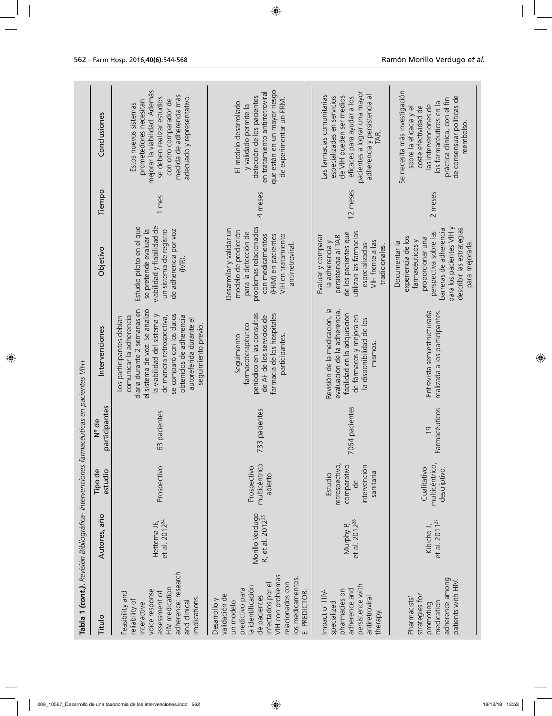| Tabla 1 (cont.). Revisión Bibliográfica- Intervenciones farmacéuticas en pacientes VIH+<br>Titulo                                                                                                     | Autores, año                                    | Tipo de<br>estudio                                                                     | N° de                           | Intervenciones                                                                                                                                                                                                                                                                          | Objetivo                                                                                                                                                                                                  | Tiempo   | Conclusiones                                                                                                                                                                                                    |
|-------------------------------------------------------------------------------------------------------------------------------------------------------------------------------------------------------|-------------------------------------------------|----------------------------------------------------------------------------------------|---------------------------------|-----------------------------------------------------------------------------------------------------------------------------------------------------------------------------------------------------------------------------------------------------------------------------------------|-----------------------------------------------------------------------------------------------------------------------------------------------------------------------------------------------------------|----------|-----------------------------------------------------------------------------------------------------------------------------------------------------------------------------------------------------------------|
| adherence: research<br>HIV medication<br>voice response<br>Feasibility and<br>assessment of<br>implications.<br>eliability of<br>and clinical<br>interactive                                          | et al. 2012 <sup>24</sup><br>Hettema JE,        | Prospectivo                                                                            | participantes<br>63 pacientes   | diaria durante 2 semanas en<br>el sistema de voz. Se analizó<br>la viabilidad del sistema y<br>se comparó con los datos<br>obtenidos de adherencia<br>comunicar la adherencia<br>de manera retrospectiva,<br>Los participantes debían<br>autoreferida durante el<br>seguimiento previo. | viabilidad y fiabilidad de<br>Estudio piloto en el que<br>se pretende evaluar la<br>un sistema de registro<br>de adherencia por voz<br>(IVR).                                                             | 1 mes    | mejorar la viabilidad. Además<br>medida de adherencia más<br>adecuado y representativo.<br>se deben realizar estudios<br>con otro comparador de<br>prometedores necesitan<br>Estos nuevos sistemas              |
| VIH con problemas<br>los medicamentos.<br>relacionados con<br>infectados por el<br>a identificación<br>predictivo para<br>E. PREDICTOR.<br>validación de<br>de pacientes<br>Desarrollo y<br>un modelo | Morillo Verdugo<br>R, et al. 2012 <sup>25</sup> | multicéntrico<br>Prospectivo<br>abierto                                                | 733 pacientes                   | periódico en las consultas<br>farmacia de los hospitales<br>de AF de los servicios de<br>farmacoterapéutico<br>Seguimiento<br>participantes                                                                                                                                             | problemas relacionados<br>Desarrollar y validar un<br>modelo de predicción<br>para la detección de<br>(PRM) en pacientes<br>VIH en tratamiento<br>con medicamentos<br>antirretroviral                     | 4 meses  | que están en un mayor riesgo<br>en tratamiento antirretroviral<br>detección de los pacientes<br>de experimentar un PRM.<br>El modelo desarrollado<br>y validado permite la                                      |
| persistence with<br>adherence and<br>pharmacies on<br>Impact of HIV-<br>antiretroviral<br>specialized<br>therapy.                                                                                     | Murphy P,<br>et al. 2012 <sup>26</sup>          | retrospectivo,<br>comparativo<br>intervención<br>sanitaria<br>Estudio<br>$\frac{e}{C}$ | 7064 pacientes                  | Revisión de la medicación, la<br>evaluación de la adherencia,<br>facilidad en la adquisición<br>de fármacos y mejora en<br>la disponibilidad de los<br>mismos                                                                                                                           | de los pacientes que<br>utilizan las farmacias<br>persistencia al TAR<br>Evaluar y comparar<br>la adherencia y<br>VIH frente a las<br>especializadas-<br>tradicionales.                                   | 12 meses | pacientes a lograr una mayor<br>Las farmacias comunitarias<br>adherencia y persistencia al<br>de VIH pueden ser medios<br>especializadas en servicios<br>eficaces para ayudar a los                             |
| adherence among<br>patients with HIV.<br>strategies for<br>Pharmacists'<br>medication<br>promoting                                                                                                    | et al. 2011 <sup>27</sup><br>Kibicho J,         | multicéntrico,<br>Cualitativo<br>descriptivo.                                          | Farmacéuticos<br>$\overline{0}$ | Entrevista semiestructurada<br>realizada a los participantes                                                                                                                                                                                                                            | para los pacientes VIH y<br>describir las estrategias<br>barreras de adherencia<br>perspectiva sobre las<br>experiencia de los<br>proporcionar una<br>farmacéuticos y<br>Documentar la<br>para mejorarla. | 2 meses  | Se necesita más investigación<br>de consensuar políticas de<br>práctica clínica, con el fin<br>los farmacéuticos en la<br>las intervenciones de<br>coste efectividad de<br>sobre la eficacia y el<br>reembolso. |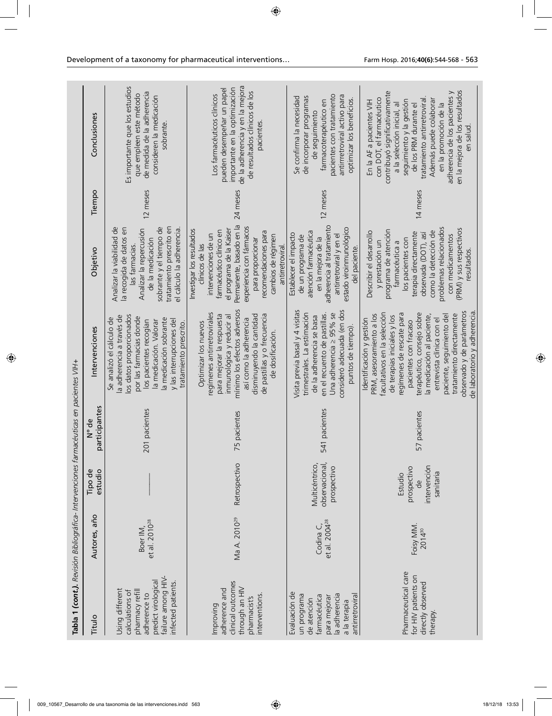| Tabla 1 (cont.). Revisión Bibliográfica- Intervenciones farmacéuticas en pacientes VIH+                                                  |                                        |                                                                           |                        |                                                                                                                                                                                                                                                                                                                                                                                        |                                                                                                                                                                                                                                                                           |          |                                                                                                                                                                                                                                                                                                                                             |
|------------------------------------------------------------------------------------------------------------------------------------------|----------------------------------------|---------------------------------------------------------------------------|------------------------|----------------------------------------------------------------------------------------------------------------------------------------------------------------------------------------------------------------------------------------------------------------------------------------------------------------------------------------------------------------------------------------|---------------------------------------------------------------------------------------------------------------------------------------------------------------------------------------------------------------------------------------------------------------------------|----------|---------------------------------------------------------------------------------------------------------------------------------------------------------------------------------------------------------------------------------------------------------------------------------------------------------------------------------------------|
| Titulo                                                                                                                                   | Autores, año                           | Tipo de<br>estudio                                                        | participantes<br>N° de | Intervenciones                                                                                                                                                                                                                                                                                                                                                                         | Objetivo                                                                                                                                                                                                                                                                  | Tiempo   | Conclusiones                                                                                                                                                                                                                                                                                                                                |
| failure among HIV-<br>predict virological<br>infected patients.<br>Using different<br>calculations of<br>pharmacy refill<br>adherence to | et al. 2010 <sup>28</sup><br>Boer IM,  |                                                                           | 201 pacientes          | la adherencia a través de<br>los datos proporcionados<br>por las farmacias donde<br>Se analizó el cálculo de<br>la medicación sobrante<br>y las interrupciones del<br>los pacientes recogían<br>la medicación. Valorar<br>tratamiento prescrito.                                                                                                                                       | sobrante y el tiempo de<br>tratamiento prescrito en<br>Analizar la viabilidad de<br>la recogida de datos en<br>Analizar la repercusión<br>el cálculo la adherencia<br>de la medicación<br>las farmacias.                                                                  | 12 meses | Es importante que los estudios<br>de medida de la adherencia<br>que empleen este método<br>consideren la medicación<br>sobrante.                                                                                                                                                                                                            |
| clinical outcomes<br>through an HIV<br>adherence and<br>nterventions.<br>pharmacist's<br>Improving                                       | Ma A. 2010 <sup>29</sup>               | Retrospectivo                                                             | 75 pacientes           | mínimo los efectos adversos<br>regimenes antirretrovirales<br>de pastillas y o frecuencia<br>disminuyendo la cantidad<br>para mejorar la respuesta<br>inmunológica y reducir al<br>así como la adherencia<br>Optimizar los nuevos<br>de dosificación.                                                                                                                                  | Permanente, basado en la<br>experiencia con fármacos<br>el programa de la Kaiser<br>Investigar los resultados<br>farmacéutico clínico en<br>recomendaciones para<br>intervenciones de un<br>cambios de régimen<br>para proporcionar<br>clínicos de las<br>antirretroviral | 24 meses | de la adherencia y en la mejora<br>importante en la optimización<br>pueden desempeñar un papel<br>de resultados clínicos de los<br>Los farmacéuticos clínicos<br>pacientes                                                                                                                                                                  |
| Evaluación de<br>la adherencia<br>antirretroviral<br>un programa<br>farmacéutica<br>para mejorar<br>de atención<br>a la terapia          | et al. 2004 <sup>28</sup><br>Codina C, | Multicéntrico,<br>observacional,<br>prospectivo                           | 541 pacientes          | Visita previa basal y 4 visitas<br>consideró adecuada (en dos<br>trimestrales. La estimación<br>Una adherencia ≥ 95% se<br>en el recuento de pastillas.<br>de la adherencia se basa<br>puntos de tiempo)                                                                                                                                                                               | adherencia al tratamiento<br>estado viroinmunológico<br>atención farmacéutica<br>Establecer el impacto<br>antirretroviral y en el<br>de un programa de<br>en la mejora de la<br>del paciente                                                                              | 12 meses | pacientes con tratamiento<br>antirrretroviral activo para<br>Se confirma la necesidad<br>de incorporar programas<br>optimizar los beneficios.<br>farmacoterapéutico en<br>de sequimiento                                                                                                                                                    |
| Pharmaceutical care<br>for HIV patients on<br>directly observed<br>therapy.                                                              | Foisy MM.<br>2014 <sup>30</sup>        | intervención<br>prospectivo<br>sanitaria<br>Estudio<br>$\frac{e}{\sigma}$ | 57 pacientes           | observado y de parámetros<br>de laboratorio y adherencia<br>facultativos en la selección<br>regimenes de rescate para<br>terapéutico, consejo sobre<br>PRM, asesoramiento a los<br>tratamiento directamente<br>a medicación al paciente,<br>paciente, seguimiento del<br>de terapias iniciales y los<br>Identificación y gestión<br>entrevista clínica con el<br>pacientes con fracaso | problemas relacionados<br>(PRM) y sus respectivos<br>programa de atención<br>como la detección de<br>Describir el desarrollo<br>terapia directamente<br>observada (DOT), así<br>con medicamentos<br>los pacientes con<br>y prestación un<br>farmacéutica a<br>resultados. | 14 meses | en la mejora de los resultados<br>contribuyó significativamente<br>adherencia de los pacientes y<br>tratamiento antirretroviral.<br>con DOT, el farmacéutico<br>Además puede colaborar<br>seguimiento y la gestión<br>En la AF a pacientes VIH<br>a la selección inicial, al<br>en la promoción de la<br>de los PRM durante el<br>en salud. |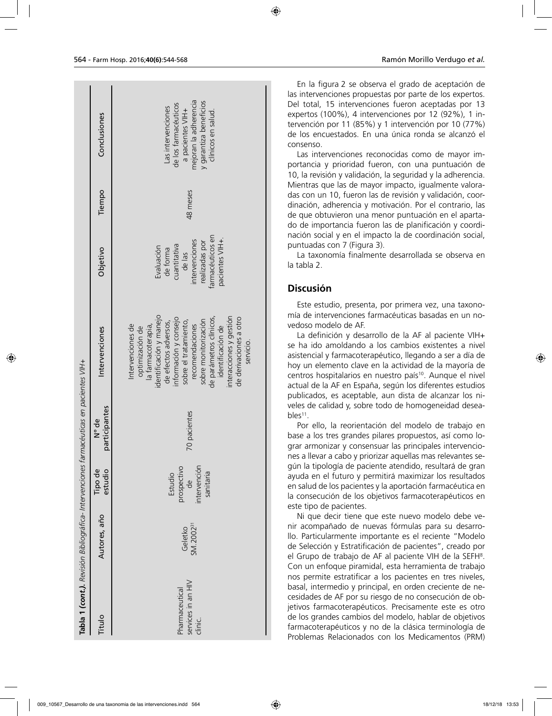|                                                                                         | Conclusiones           | mejoran la adherencia<br>y garantiza beneficios<br>de los farmacéuticos<br>Las intervenciones<br>a pacientes VIH+<br>clínicos en salud.                                                                                                                                                                                     |
|-----------------------------------------------------------------------------------------|------------------------|-----------------------------------------------------------------------------------------------------------------------------------------------------------------------------------------------------------------------------------------------------------------------------------------------------------------------------|
|                                                                                         | Tiempo                 | 48 meses                                                                                                                                                                                                                                                                                                                    |
|                                                                                         | Objetivo               | farmacéuticos en<br>pacientes VIH+.<br>intervenciones<br>realizadas por<br>cuantitativa<br>Evaluación<br>de forma<br>de las                                                                                                                                                                                                 |
|                                                                                         | Intervenciones         | identificación y manejo<br>interacciones y gestión<br>de parámetros clínicos,<br>de derivaciones a otro<br>información y consejo<br>sobre el tratamiento,<br>sobre monitorización<br>de efectos adversos,<br>recomendaciones<br>ntervenciones de<br>identificación de<br>la farmacoterapia,<br>optimización de<br>servicio. |
|                                                                                         | participantes<br>N° de | 70 pacientes                                                                                                                                                                                                                                                                                                                |
|                                                                                         | Tipo de<br>estudio     | ntervención<br>prospectivo<br>de<br>sanitaria<br>Estudio                                                                                                                                                                                                                                                                    |
|                                                                                         | Autores, año           | SM.2002 <sup>31</sup><br>Geletko                                                                                                                                                                                                                                                                                            |
| Tabla 1 (cont.). Revisión Bibliográfica- Intervenciones farmacéuticas en pacientes VIH+ | Titulo                 | services in an HIV<br>harmaceutical<br>clinic.                                                                                                                                                                                                                                                                              |

En la figura 2 se observa el grado de aceptación de las intervenciones propuestas por parte de los expertos. Del total, 15 intervenciones fueron aceptadas por 13 expertos (100%), 4 intervenciones por 12 (92%), 1 intervención por 11 (85%) y 1 intervención por 10 (77%) de los encuestados. En una única ronda se alcanzó el consenso.

Las intervenciones reconocidas como de mayor importancia y prioridad fueron, con una puntuación de 10, la revisión y validación, la seguridad y la adherencia. Mientras que las de mayor impacto, igualmente valoradas con un 10, fueron las de revisión y validación, coordinación, adherencia y motivación. Por el contrario, las de que obtuvieron una menor puntuación en el apartado de importancia fueron las de planificación y coordinación social y en el impacto la de coordinación social, puntuadas con 7 (Figura 3).

La taxonomía finalmente desarrollada se observa en la tabla 2.

### **Discusión**

Este estudio, presenta, por primera vez, una taxonomía de intervenciones farmacéuticas basadas en un novedoso modelo de AF.

La definición y desarrollo de la AF al paciente VIH+ se ha ido amoldando a los cambios existentes a nivel asistencial y farmacoterapéutico, llegando a ser a día de hoy un elemento clave en la actividad de la mayoría de centros hospitalarios en nuestro país<sup>10</sup>. Aunque el nivel actual de la AF en España, según los diferentes estudios publicados, es aceptable, aun dista de alcanzar los niveles de calidad y, sobre todo de homogeneidad deseables<sup>11</sup>.

Por ello, la reorientación del modelo de trabajo en base a los tres grandes pilares propuestos, así como lograr armonizar y consensuar las principales intervenciones a llevar a cabo y priorizar aquellas mas relevantes según la tipología de paciente atendido, resultará de gran ayuda en el futuro y permitirá maximizar los resultados en salud de los pacientes y la aportación farmacéutica en la consecución de los objetivos farmacoterapéuticos en este tipo de pacientes.

Ni que decir tiene que este nuevo modelo debe venir acompañado de nuevas fórmulas para su desarrollo. Particularmente importante es el reciente "Modelo de Selección y Estratificación de pacientes", creado por el Grupo de trabajo de AF al paciente VIH de la SEFH8 . Con un enfoque piramidal, esta herramienta de trabajo nos permite estratificar a los pacientes en tres niveles, basal, intermedio y principal, en orden creciente de necesidades de AF por su riesgo de no consecución de objetivos farmacoterapéuticos. Precisamente este es otro de los grandes cambios del modelo, hablar de objetivos farmacoterapéuticos y no de la clásica terminología de Problemas Relacionados con los Medicamentos (PRM)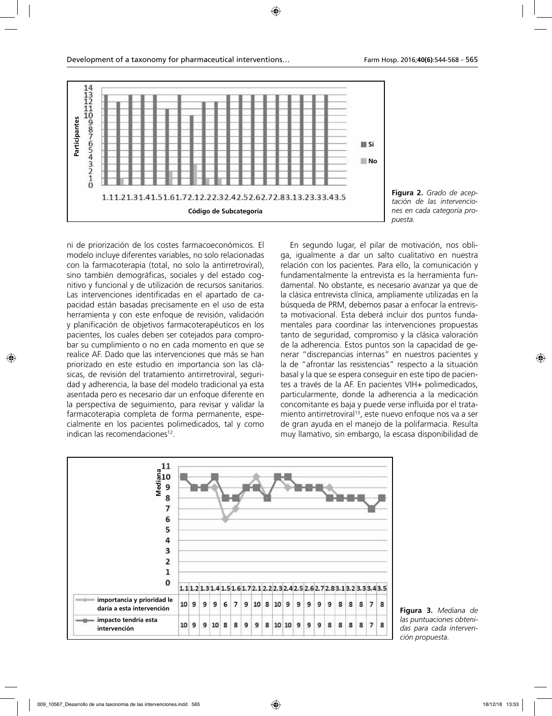

**Figura 2.** *Grado de aceptación de las intervenciones en cada categoría propuesta.*

ni de priorización de los costes farmacoeconómicos. El modelo incluye diferentes variables, no solo relacionadas con la farmacoterapia (total, no solo la antirretroviral), sino también demográficas, sociales y del estado cognitivo y funcional y de utilización de recursos sanitarios. Las intervenciones identificadas en el apartado de capacidad están basadas precisamente en el uso de esta herramienta y con este enfoque de revisión, validación y planificación de objetivos farmacoterapéuticos en los pacientes, los cuales deben ser cotejados para comprobar su cumplimiento o no en cada momento en que se realice AF. Dado que las intervenciones que más se han priorizado en este estudio en importancia son las clásicas, de revisión del tratamiento antirretroviral, seguridad y adherencia, la base del modelo tradicional ya esta asentada pero es necesario dar un enfoque diferente en la perspectiva de seguimiento, para revisar y validar la farmacoterapia completa de forma permanente, especialmente en los pacientes polimedicados, tal y como indican las recomendaciones<sup>12</sup>.

En segundo lugar, el pilar de motivación, nos obliga, igualmente a dar un salto cualitativo en nuestra relación con los pacientes. Para ello, la comunicación y fundamentalmente la entrevista es la herramienta fundamental. No obstante, es necesario avanzar ya que de la clásica entrevista clínica, ampliamente utilizadas en la búsqueda de PRM, debemos pasar a enfocar la entrevista motivacional. Esta deberá incluir dos puntos fundamentales para coordinar las intervenciones propuestas tanto de seguridad, compromiso y la clásica valoración de la adherencia. Estos puntos son la capacidad de generar "discrepancias internas" en nuestros pacientes y la de "afrontar las resistencias" respecto a la situación basal y la que se espera conseguir en este tipo de pacientes a través de la AF. En pacientes VIH+ polimedicados, particularmente, donde la adherencia a la medicación concomitante es baja y puede verse influida por el tratamiento antirretroviral<sup>13</sup>, este nuevo enfoque nos va a ser de gran ayuda en el manejo de la polifarmacia. Resulta muy llamativo, sin embargo, la escasa disponibilidad de



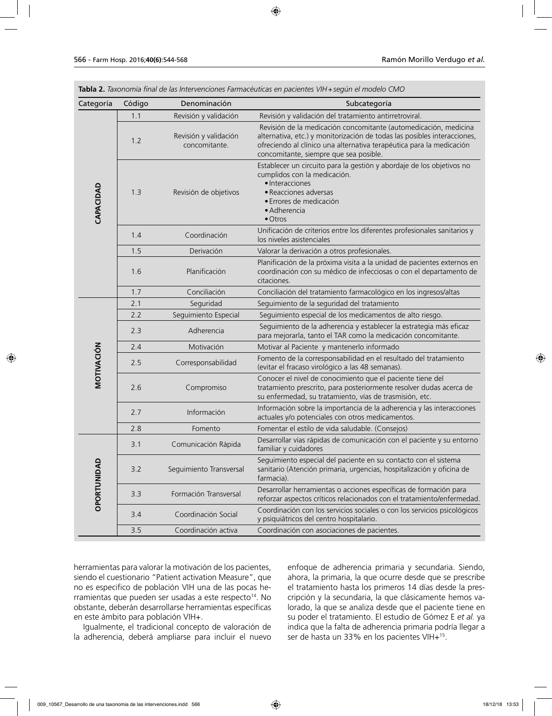| Categoría                    | Código | Denominación                           | Subcategoría                                                                                                                                                                                                                                                   |
|------------------------------|--------|----------------------------------------|----------------------------------------------------------------------------------------------------------------------------------------------------------------------------------------------------------------------------------------------------------------|
| CAPACIDAD                    | 1.1    | Revisión y validación                  | Revisión y validación del tratamiento antirretroviral.                                                                                                                                                                                                         |
|                              | 1.2    | Revisión y validación<br>concomitante. | Revisión de la medicación concomitante (automedicación, medicina<br>alternativa, etc.) y monitorización de todas las posibles interacciones,<br>ofreciendo al clínico una alternativa terapéutica para la medicación<br>concomitante, siempre que sea posible. |
|                              | 1.3    | Revisión de objetivos                  | Establecer un circuito para la gestión y abordaje de los objetivos no<br>cumplidos con la medicación.<br>· Interacciones<br>· Reacciones adversas<br>· Errores de medicación<br>· Adherencia<br>$\bullet$ Otros                                                |
|                              | 1.4    | Coordinación                           | Unificación de criterios entre los diferentes profesionales sanitarios y<br>los niveles asistenciales                                                                                                                                                          |
|                              | 1.5    | Derivación                             | Valorar la derivación a otros profesionales.                                                                                                                                                                                                                   |
|                              | 1.6    | Planificación                          | Planificación de la próxima visita a la unidad de pacientes externos en<br>coordinación con su médico de infecciosas o con el departamento de<br>citaciones.                                                                                                   |
|                              | 1.7    | Conciliación                           | Conciliación del tratamiento farmacológico en los ingresos/altas                                                                                                                                                                                               |
| MOTIVACIÓN                   | 2.1    | Seguridad                              | Seguimiento de la seguridad del tratamiento                                                                                                                                                                                                                    |
|                              | 2.2    | Seguimiento Especial                   | Seguimiento especial de los medicamentos de alto riesgo.                                                                                                                                                                                                       |
|                              | 2.3    | Adherencia                             | Seguimiento de la adherencia y establecer la estrategia más eficaz<br>para mejorarla, tanto el TAR como la medicación concomitante.                                                                                                                            |
|                              | 2.4    | Motivación                             | Motivar al Paciente y mantenerlo informado                                                                                                                                                                                                                     |
|                              | 2.5    | Corresponsabilidad                     | Fomento de la corresponsabilidad en el resultado del tratamiento<br>(evitar el fracaso virológico a las 48 semanas).                                                                                                                                           |
|                              | 2.6    | Compromiso                             | Conocer el nivel de conocimiento que el paciente tiene del<br>tratamiento prescrito, para posteriormente resolver dudas acerca de<br>su enfermedad, su tratamiento, vías de trasmisión, etc.                                                                   |
|                              | 2.7    | Información                            | Información sobre la importancia de la adherencia y las interacciones<br>actuales y/o potenciales con otros medicamentos.                                                                                                                                      |
|                              | 2.8    | Fomento                                | Fomentar el estilo de vida saludable. (Consejos)                                                                                                                                                                                                               |
| $\circ$<br><b>OPORTUNIDA</b> | 3.1    | Comunicación Rápida                    | Desarrollar vías rápidas de comunicación con el paciente y su entorno<br>familiar y cuidadores                                                                                                                                                                 |
|                              | 3.2    | Seguimiento Transversal                | Seguimiento especial del paciente en su contacto con el sistema<br>sanitario (Atención primaria, urgencias, hospitalización y oficina de<br>farmacia).                                                                                                         |
|                              | 3.3    | Formación Transversal                  | Desarrollar herramientas o acciones específicas de formación para<br>reforzar aspectos críticos relacionados con el tratamiento/enfermedad.                                                                                                                    |
|                              | 3.4    | Coordinación Social                    | Coordinación con los servicios sociales o con los servicios psicológicos<br>y psiquiátricos del centro hospitalario.                                                                                                                                           |
|                              | 3.5    | Coordinación activa                    | Coordinación con asociaciones de pacientes.                                                                                                                                                                                                                    |

**Tabla 2.** *Taxonomía final de las Intervenciones Farmacéuticas en pacientes VIH+según el modelo CMO*

herramientas para valorar la motivación de los pacientes, siendo el cuestionario "Patient activation Measure", que no es especifico de población VIH una de las pocas herramientas que pueden ser usadas a este respecto<sup>14</sup>. No obstante, deberán desarrollarse herramientas específicas en este ámbito para población VIH+.

Igualmente, el tradicional concepto de valoración de la adherencia, deberá ampliarse para incluir el nuevo enfoque de adherencia primaria y secundaria. Siendo, ahora, la primaria, la que ocurre desde que se prescribe el tratamiento hasta los primeros 14 días desde la prescripción y la secundaria, la que clásicamente hemos valorado, la que se analiza desde que el paciente tiene en su poder el tratamiento. El estudio de Gómez E *et al.* ya indica que la falta de adherencia primaria podría llegar a ser de hasta un 33% en los pacientes VIH+15.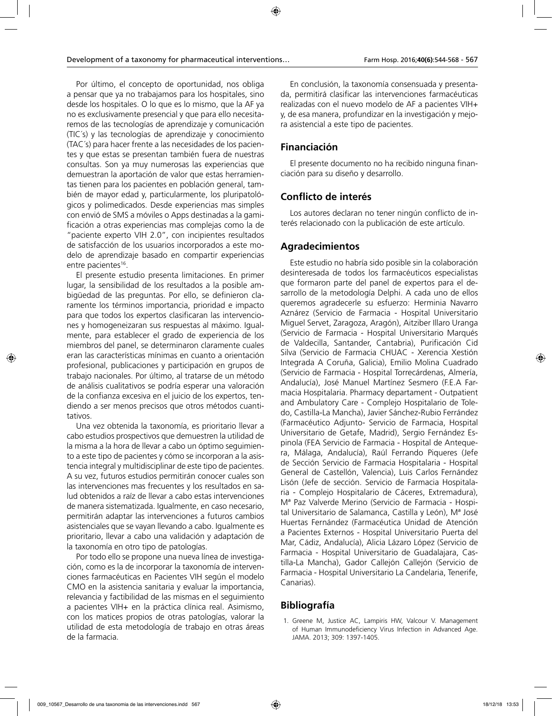Por último, el concepto de oportunidad, nos obliga a pensar que ya no trabajamos para los hospitales, sino desde los hospitales. O lo que es lo mismo, que la AF ya no es exclusivamente presencial y que para ello necesitaremos de las tecnologías de aprendizaje y comunicación (TIC´s) y las tecnologías de aprendizaje y conocimiento (TAC´s) para hacer frente a las necesidades de los pacientes y que estas se presentan también fuera de nuestras consultas. Son ya muy numerosas las experiencias que demuestran la aportación de valor que estas herramientas tienen para los pacientes en población general, también de mayor edad y, particularmente, los pluripatológicos y polimedicados. Desde experiencias mas simples con envió de SMS a móviles o Apps destinadas a la gamificación a otras experiencias mas complejas como la de "paciente experto VIH 2.0", con incipientes resultados de satisfacción de los usuarios incorporados a este modelo de aprendizaje basado en compartir experiencias entre pacientes<sup>16</sup>.

El presente estudio presenta limitaciones. En primer lugar, la sensibilidad de los resultados a la posible ambigüedad de las preguntas. Por ello, se definieron claramente los términos importancia, prioridad e impacto para que todos los expertos clasificaran las intervenciones y homogeneizaran sus respuestas al máximo. Igualmente, para establecer el grado de experiencia de los miembros del panel, se determinaron claramente cuales eran las características mínimas en cuanto a orientación profesional, publicaciones y participación en grupos de trabajo nacionales. Por último, al tratarse de un método de análisis cualitativos se podría esperar una valoración de la confianza excesiva en el juicio de los expertos, tendiendo a ser menos precisos que otros métodos cuantitativos.

Una vez obtenida la taxonomía, es prioritario llevar a cabo estudios prospectivos que demuestren la utilidad de la misma a la hora de llevar a cabo un óptimo seguimiento a este tipo de pacientes y cómo se incorporan a la asistencia integral y multidisciplinar de este tipo de pacientes. A su vez, futuros estudios permitirán conocer cuales son las intervenciones mas frecuentes y los resultados en salud obtenidos a raíz de llevar a cabo estas intervenciones de manera sistematizada. Igualmente, en caso necesario, permitirán adaptar las intervenciones a futuros cambios asistenciales que se vayan llevando a cabo. Igualmente es prioritario, llevar a cabo una validación y adaptación de la taxonomía en otro tipo de patologías.

Por todo ello se propone una nueva línea de investigación, como es la de incorporar la taxonomía de intervenciones farmacéuticas en Pacientes VIH según el modelo CMO en la asistencia sanitaria y evaluar la importancia, relevancia y factibilidad de las mismas en el seguimiento a pacientes VIH+ en la práctica clínica real. Asimismo, con los matices propios de otras patologías, valorar la utilidad de esta metodología de trabajo en otras áreas de la farmacia.

En conclusión, la taxonomía consensuada y presentada, permitirá clasificar las intervenciones farmacéuticas realizadas con el nuevo modelo de AF a pacientes VIH+ y, de esa manera, profundizar en la investigación y mejora asistencial a este tipo de pacientes.

# **Financiación**

El presente documento no ha recibido ninguna financiación para su diseño y desarrollo.

# **Conflicto de interés**

Los autores declaran no tener ningún conflicto de interés relacionado con la publicación de este artículo.

### **Agradecimientos**

Este estudio no habría sido posible sin la colaboración desinteresada de todos los farmacéuticos especialistas que formaron parte del panel de expertos para el desarrollo de la metodología Delphi. A cada uno de ellos queremos agradecerle su esfuerzo: Herminia Navarro Aznárez (Servicio de Farmacia - Hospital Universitario Miguel Servet, Zaragoza, Aragón), Aitziber Illaro Uranga (Servicio de Farmacia - Hospital Universitario Marqués de Valdecilla, Santander, Cantabria), Purificación Cid Silva (Servicio de Farmacia CHUAC - Xerencia Xestión Integrada A Coruña, Galicia), Emilio Molina Cuadrado (Servicio de Farmacia - Hospital Torrecárdenas, Almería, Andalucía), José Manuel Martínez Sesmero (F.E.A Farmacia Hospitalaria. Pharmacy departament - Outpatient and Ambulatory Care - Complejo Hospitalario de Toledo, Castilla-La Mancha), Javier Sánchez-Rubio Ferrández (Farmacéutico Adjunto- Servicio de Farmacia, Hospital Universitario de Getafe, Madrid), Sergio Fernández Espinola (FEA Servicio de Farmacia - Hospital de Antequera, Málaga, Andalucía), Raúl Ferrando Piqueres (Jefe de Sección Servicio de Farmacia Hospitalaria - Hospital General de Castellón, Valencia), Luis Carlos Fernández Lisón (Jefe de sección. Servicio de Farmacia Hospitalaria - Complejo Hospitalario de Cáceres, Extremadura), Mª Paz Valverde Merino (Servicio de Farmacia - Hospital Universitario de Salamanca, Castilla y León), Mª José Huertas Fernández (Farmacéutica Unidad de Atención a Pacientes Externos - Hospital Universitario Puerta del Mar, Cádiz, Andalucía), Alicia Lázaro López (Servicio de Farmacia - Hospital Universitario de Guadalajara, Castilla-La Mancha), Gador Callejón Callejón (Servicio de Farmacia - Hospital Universitario La Candelaria, Tenerife, Canarias).

# **Bibliografía**

1. Greene M, Justice AC, Lampiris HW, Valcour V. Management of Human Immunodeficiency Virus Infection in Advanced Age. JAMA. 2013; 309: 1397-1405.